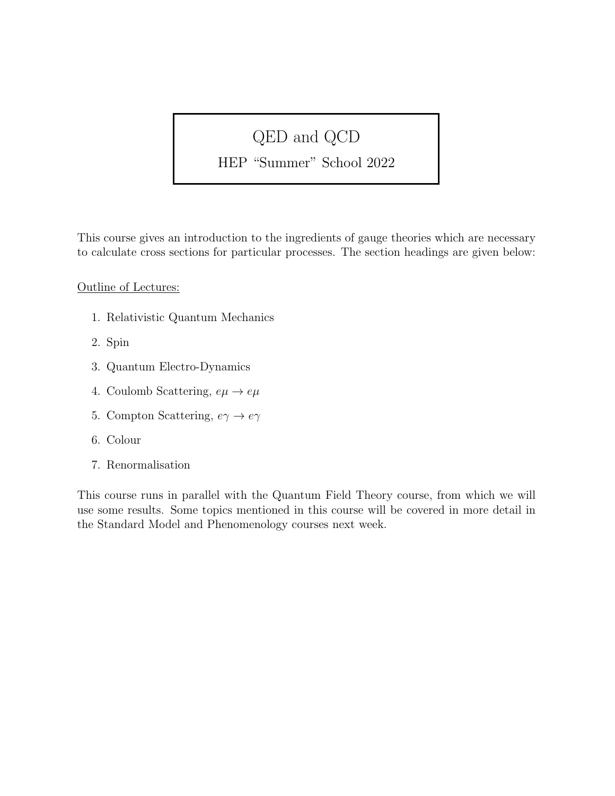# QED and QCD

### HEP "Summer" School 2022

This course gives an introduction to the ingredients of gauge theories which are necessary to calculate cross sections for particular processes. The section headings are given below:

#### Outline of Lectures:

- 1. Relativistic Quantum Mechanics
- 2. Spin
- 3. Quantum Electro-Dynamics
- 4. Coulomb Scattering,  $e\mu \rightarrow e\mu$
- 5. Compton Scattering,  $e\gamma \to e\gamma$
- 6. Colour
- 7. Renormalisation

This course runs in parallel with the Quantum Field Theory course, from which we will use some results. Some topics mentioned in this course will be covered in more detail in the Standard Model and Phenomenology courses next week.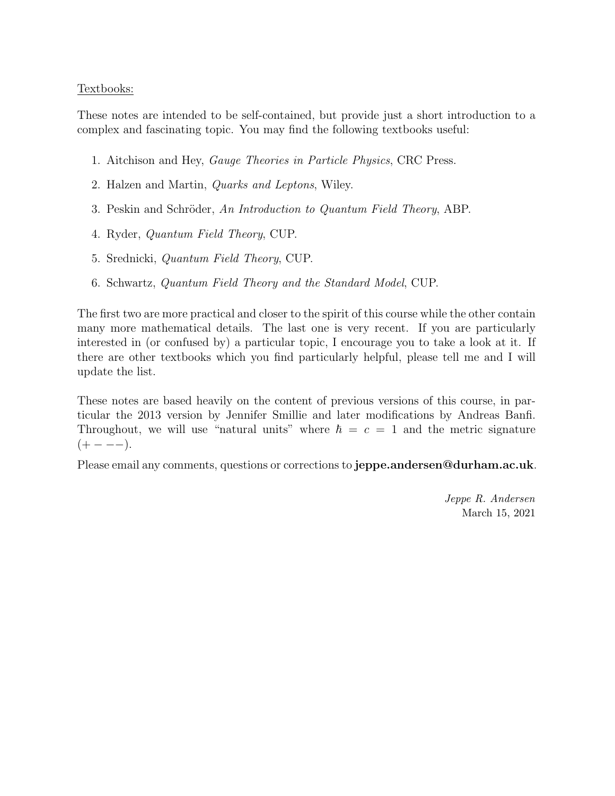#### Textbooks:

These notes are intended to be self-contained, but provide just a short introduction to a complex and fascinating topic. You may find the following textbooks useful:

- 1. Aitchison and Hey, Gauge Theories in Particle Physics, CRC Press.
- 2. Halzen and Martin, Quarks and Leptons, Wiley.
- 3. Peskin and Schröder, An Introduction to Quantum Field Theory, ABP.
- 4. Ryder, Quantum Field Theory, CUP.
- 5. Srednicki, Quantum Field Theory, CUP.
- 6. Schwartz, Quantum Field Theory and the Standard Model, CUP.

The first two are more practical and closer to the spirit of this course while the other contain many more mathematical details. The last one is very recent. If you are particularly interested in (or confused by) a particular topic, I encourage you to take a look at it. If there are other textbooks which you find particularly helpful, please tell me and I will update the list.

These notes are based heavily on the content of previous versions of this course, in particular the 2013 version by Jennifer Smillie and later modifications by Andreas Banfi. Throughout, we will use "natural units" where  $\hbar = c = 1$  and the metric signature  $(+ - - -).$ 

Please email any comments, questions or corrections to **jeppe.andersen@durham.ac.uk**.

Jeppe R. Andersen March 15, 2021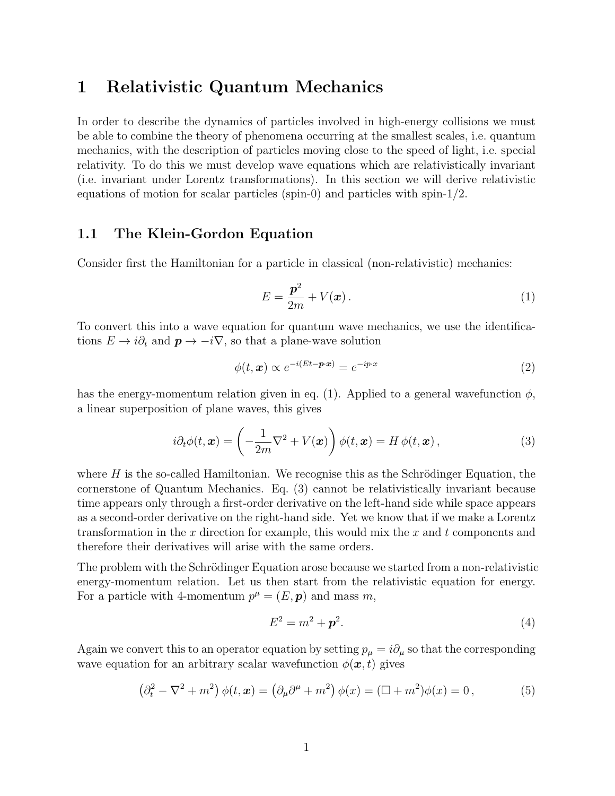### 1 Relativistic Quantum Mechanics

In order to describe the dynamics of particles involved in high-energy collisions we must be able to combine the theory of phenomena occurring at the smallest scales, i.e. quantum mechanics, with the description of particles moving close to the speed of light, i.e. special relativity. To do this we must develop wave equations which are relativistically invariant (i.e. invariant under Lorentz transformations). In this section we will derive relativistic equations of motion for scalar particles (spin-0) and particles with spin-1/2.

#### 1.1 The Klein-Gordon Equation

Consider first the Hamiltonian for a particle in classical (non-relativistic) mechanics:

$$
E = \frac{\mathbf{p}^2}{2m} + V(\mathbf{x}).\tag{1}
$$

To convert this into a wave equation for quantum wave mechanics, we use the identifications  $E \to i\partial_t$  and  $\mathbf{p} \to -i\nabla$ , so that a plane-wave solution

$$
\phi(t, \mathbf{x}) \propto e^{-i(Et - \mathbf{p} \cdot \mathbf{x})} = e^{-ip \cdot x} \tag{2}
$$

has the energy-momentum relation given in eq. (1). Applied to a general wavefunction  $\phi$ , a linear superposition of plane waves, this gives

$$
i\partial_t \phi(t, \mathbf{x}) = \left(-\frac{1}{2m}\nabla^2 + V(\mathbf{x})\right)\phi(t, \mathbf{x}) = H\phi(t, \mathbf{x}),\tag{3}
$$

where  $H$  is the so-called Hamiltonian. We recognise this as the Schrödinger Equation, the cornerstone of Quantum Mechanics. Eq. (3) cannot be relativistically invariant because time appears only through a first-order derivative on the left-hand side while space appears as a second-order derivative on the right-hand side. Yet we know that if we make a Lorentz transformation in the  $x$  direction for example, this would mix the  $x$  and  $t$  components and therefore their derivatives will arise with the same orders.

The problem with the Schrödinger Equation arose because we started from a non-relativistic energy-momentum relation. Let us then start from the relativistic equation for energy. For a particle with 4-momentum  $p^{\mu} = (E, \mathbf{p})$  and mass m,

$$
E^2 = m^2 + \mathbf{p}^2. \tag{4}
$$

Again we convert this to an operator equation by setting  $p_{\mu} = i \partial_{\mu}$  so that the corresponding wave equation for an arbitrary scalar wavefunction  $\phi(\mathbf{x}, t)$  gives

$$
\left(\partial_t^2 - \nabla^2 + m^2\right)\phi(t, \mathbf{x}) = \left(\partial_\mu\partial^\mu + m^2\right)\phi(x) = (\Box + m^2)\phi(x) = 0\,,\tag{5}
$$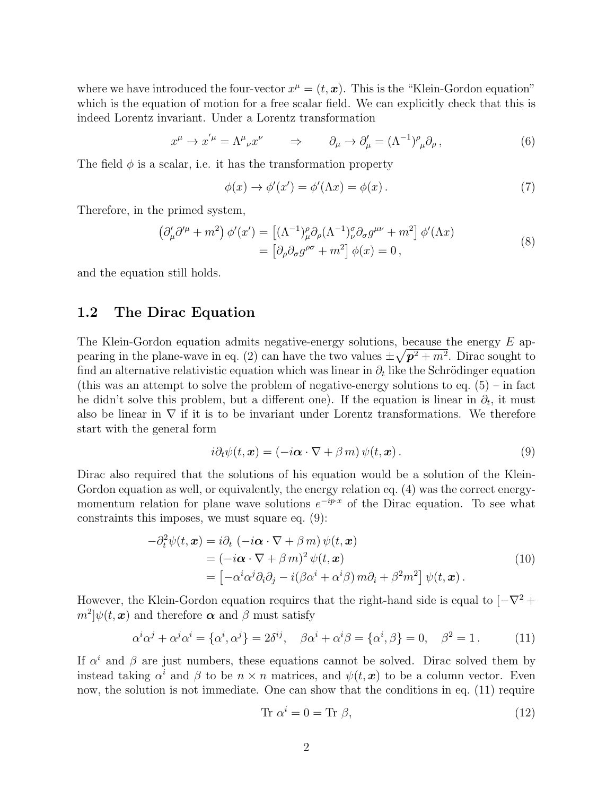where we have introduced the four-vector  $x^{\mu} = (t, x)$ . This is the "Klein-Gordon equation" which is the equation of motion for a free scalar field. We can explicitly check that this is indeed Lorentz invariant. Under a Lorentz transformation

$$
x^{\mu} \to x^{'\mu} = \Lambda^{\mu}{}_{\nu} x^{\nu} \qquad \Rightarrow \qquad \partial_{\mu} \to \partial_{\mu}' = (\Lambda^{-1})^{\rho}{}_{\mu} \partial_{\rho} , \tag{6}
$$

The field  $\phi$  is a scalar, i.e. it has the transformation property

$$
\phi(x) \to \phi'(x') = \phi'(\Lambda x) = \phi(x). \tag{7}
$$

Therefore, in the primed system,

$$
\left(\partial_{\mu}^{\prime}\partial^{\prime\mu} + m^{2}\right)\phi^{\prime}(x^{\prime}) = \left[ (\Lambda^{-1})_{\mu}^{\rho}\partial_{\rho}(\Lambda^{-1})_{\nu}^{\sigma}\partial_{\sigma}g^{\mu\nu} + m^{2} \right]\phi^{\prime}(\Lambda x)
$$

$$
= \left[\partial_{\rho}\partial_{\sigma}g^{\rho\sigma} + m^{2}\right]\phi(x) = 0,
$$
 (8)

and the equation still holds.

#### 1.2 The Dirac Equation

The Klein-Gordon equation admits negative-energy solutions, because the energy  $E$  appearing in the plane-wave in eq. (2) can have the two values  $\pm \sqrt{p^2 + m^2}$ . Dirac sought to find an alternative relativistic equation which was linear in  $\partial_t$  like the Schrödinger equation (this was an attempt to solve the problem of negative-energy solutions to eq.  $(5)$  – in fact he didn't solve this problem, but a different one). If the equation is linear in  $\partial_t$ , it must also be linear in  $\nabla$  if it is to be invariant under Lorentz transformations. We therefore start with the general form

$$
i\partial_t \psi(t, \mathbf{x}) = (-i\mathbf{\alpha} \cdot \nabla + \beta \, m) \, \psi(t, \mathbf{x}). \tag{9}
$$

Dirac also required that the solutions of his equation would be a solution of the Klein-Gordon equation as well, or equivalently, the energy relation eq. (4) was the correct energymomentum relation for plane wave solutions  $e^{-ip\cdot x}$  of the Dirac equation. To see what constraints this imposes, we must square eq. (9):

$$
-\partial_t^2 \psi(t, \mathbf{x}) = i\partial_t \left( -i\boldsymbol{\alpha} \cdot \nabla + \beta \, m \right) \psi(t, \mathbf{x})
$$
  
=\n
$$
\left( -i\boldsymbol{\alpha} \cdot \nabla + \beta \, m \right)^2 \psi(t, \mathbf{x})
$$
  
=\n
$$
\left[ -\alpha^i \alpha^j \partial_i \partial_j - i(\beta \alpha^i + \alpha^i \beta) \, m \partial_i + \beta^2 m^2 \right] \psi(t, \mathbf{x}).
$$
\n(10)

However, the Klein-Gordon equation requires that the right-hand side is equal to  $[-\nabla^2 +]$  $[m^2] \psi(t, x)$  and therefore  $\boldsymbol{\alpha}$  and  $\beta$  must satisfy

$$
\alpha^i \alpha^j + \alpha^j \alpha^i = {\alpha^i, \alpha^j} = 2\delta^{ij}, \quad \beta \alpha^i + \alpha^i \beta = {\alpha^i, \beta} = 0, \quad \beta^2 = 1.
$$
 (11)

If  $\alpha^i$  and  $\beta$  are just numbers, these equations cannot be solved. Dirac solved them by instead taking  $\alpha^i$  and  $\beta$  to be  $n \times n$  matrices, and  $\psi(t, x)$  to be a column vector. Even now, the solution is not immediate. One can show that the conditions in eq. (11) require

$$
Tr \alpha^i = 0 = Tr \beta,
$$
\n(12)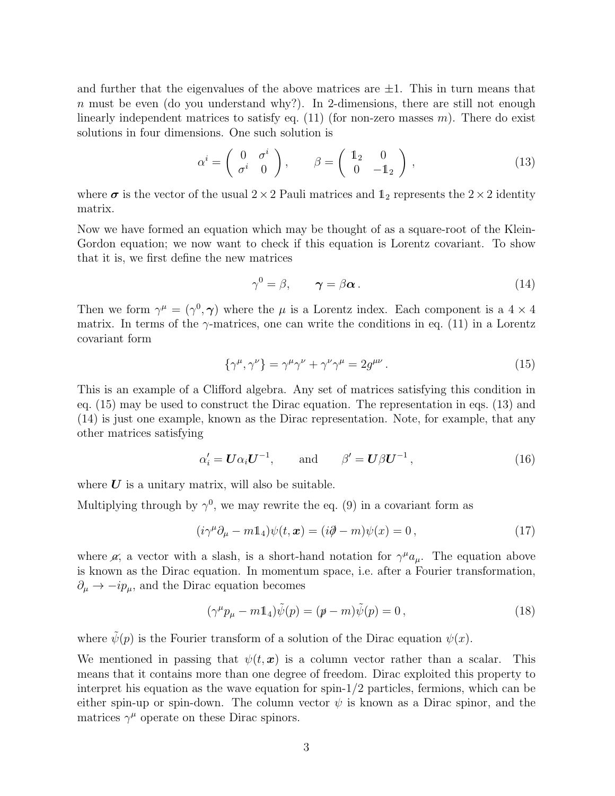and further that the eigenvalues of the above matrices are  $\pm 1$ . This in turn means that n must be even (do you understand why?). In 2-dimensions, there are still not enough linearly independent matrices to satisfy eq.  $(11)$  (for non-zero masses m). There do exist solutions in four dimensions. One such solution is

$$
\alpha^i = \begin{pmatrix} 0 & \sigma^i \\ \sigma^i & 0 \end{pmatrix}, \qquad \beta = \begin{pmatrix} \mathbb{1}_2 & 0 \\ 0 & -\mathbb{1}_2 \end{pmatrix}, \tag{13}
$$

where  $\sigma$  is the vector of the usual  $2 \times 2$  Pauli matrices and  $\mathbb{1}_2$  represents the  $2 \times 2$  identity matrix.

Now we have formed an equation which may be thought of as a square-root of the Klein-Gordon equation; we now want to check if this equation is Lorentz covariant. To show that it is, we first define the new matrices

$$
\gamma^0 = \beta, \qquad \gamma = \beta \alpha \,. \tag{14}
$$

Then we form  $\gamma^{\mu} = (\gamma^0, \gamma)$  where the  $\mu$  is a Lorentz index. Each component is a  $4 \times 4$ matrix. In terms of the  $\gamma$ -matrices, one can write the conditions in eq. (11) in a Lorentz covariant form

$$
\{\gamma^{\mu}, \gamma^{\nu}\} = \gamma^{\mu} \gamma^{\nu} + \gamma^{\nu} \gamma^{\mu} = 2g^{\mu\nu}.
$$
 (15)

This is an example of a Clifford algebra. Any set of matrices satisfying this condition in eq. (15) may be used to construct the Dirac equation. The representation in eqs. (13) and (14) is just one example, known as the Dirac representation. Note, for example, that any other matrices satisfying

$$
\alpha_i' = \boldsymbol{U}\alpha_i\boldsymbol{U}^{-1}, \quad \text{and} \quad \beta' = \boldsymbol{U}\beta\boldsymbol{U}^{-1}, \tag{16}
$$

where  $U$  is a unitary matrix, will also be suitable.

Multiplying through by  $\gamma^0$ , we may rewrite the eq. (9) in a covariant form as

$$
(i\gamma^{\mu}\partial_{\mu} - m\mathbb{1}_4)\psi(t, \mathbf{x}) = (i\partial \!\!\!/ - m)\psi(x) = 0, \qquad (17)
$$

where  $\alpha$ , a vector with a slash, is a short-hand notation for  $\gamma^{\mu}a_{\mu}$ . The equation above is known as the Dirac equation. In momentum space, i.e. after a Fourier transformation,  $\partial_{\mu} \rightarrow -ip_{\mu}$ , and the Dirac equation becomes

$$
(\gamma^{\mu}p_{\mu} - m\mathbb{1}_4)\tilde{\psi}(p) = (p - m)\tilde{\psi}(p) = 0, \qquad (18)
$$

where  $\tilde{\psi}(p)$  is the Fourier transform of a solution of the Dirac equation  $\psi(x)$ .

We mentioned in passing that  $\psi(t, x)$  is a column vector rather than a scalar. This means that it contains more than one degree of freedom. Dirac exploited this property to interpret his equation as the wave equation for spin- $1/2$  particles, fermions, which can be either spin-up or spin-down. The column vector  $\psi$  is known as a Dirac spinor, and the matrices  $\gamma^{\mu}$  operate on these Dirac spinors.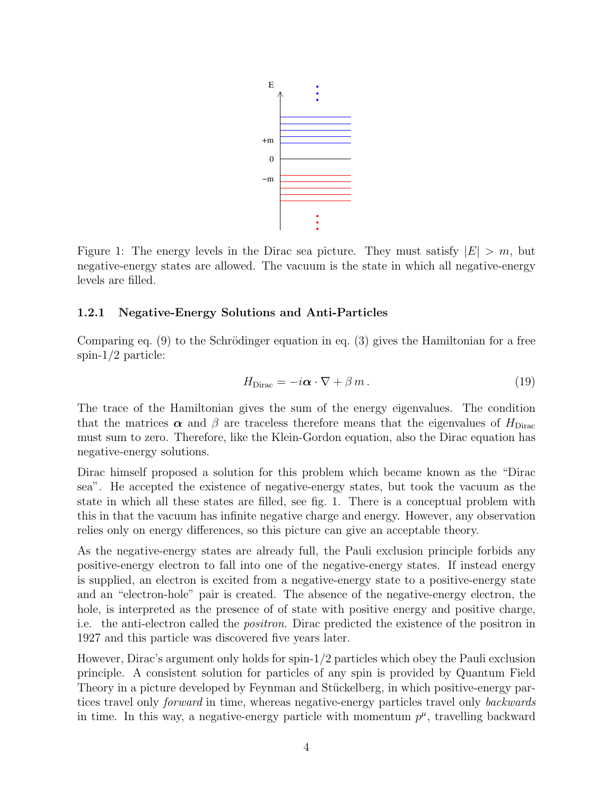

Figure 1: The energy levels in the Dirac sea picture. They must satisfy  $|E| > m$ , but negative-energy states are allowed. The vacuum is the state in which all negative-energy levels are filled.

#### 1.2.1 Negative-Energy Solutions and Anti-Particles

Comparing eq.  $(9)$  to the Schrödinger equation in eq.  $(3)$  gives the Hamiltonian for a free spin- $1/2$  particle:

$$
H_{\text{Dirac}} = -i\boldsymbol{\alpha} \cdot \nabla + \beta m. \tag{19}
$$

The trace of the Hamiltonian gives the sum of the energy eigenvalues. The condition that the matrices  $\alpha$  and  $\beta$  are traceless therefore means that the eigenvalues of  $H_{\text{Dirac}}$ must sum to zero. Therefore, like the Klein-Gordon equation, also the Dirac equation has negative-energy solutions.

Dirac himself proposed a solution for this problem which became known as the "Dirac sea". He accepted the existence of negative-energy states, but took the vacuum as the state in which all these states are filled, see fig. 1. There is a conceptual problem with this in that the vacuum has infinite negative charge and energy. However, any observation relies only on energy differences, so this picture can give an acceptable theory.

As the negative-energy states are already full, the Pauli exclusion principle forbids any positive-energy electron to fall into one of the negative-energy states. If instead energy is supplied, an electron is excited from a negative-energy state to a positive-energy state and an "electron-hole" pair is created. The absence of the negative-energy electron, the hole, is interpreted as the presence of of state with positive energy and positive charge, i.e. the anti-electron called the positron. Dirac predicted the existence of the positron in 1927 and this particle was discovered five years later.

However, Dirac's argument only holds for spin-1/2 particles which obey the Pauli exclusion principle. A consistent solution for particles of any spin is provided by Quantum Field Theory in a picture developed by Feynman and Stückelberg, in which positive-energy partices travel only forward in time, whereas negative-energy particles travel only backwards in time. In this way, a negative-energy particle with momentum  $p^{\mu}$ , travelling backward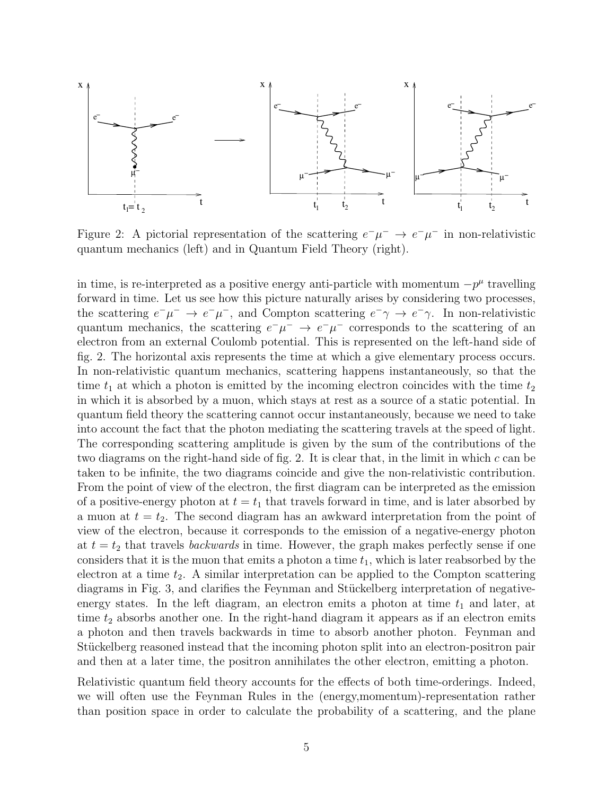

Figure 2: A pictorial representation of the scattering  $e^-\mu^- \rightarrow e^-\mu^-$  in non-relativistic quantum mechanics (left) and in Quantum Field Theory (right).

in time, is re-interpreted as a positive energy anti-particle with momentum  $-p^{\mu}$  travelling forward in time. Let us see how this picture naturally arises by considering two processes, the scattering  $e^- \mu^- \to e^- \mu^-$ , and Compton scattering  $e^- \gamma \to e^- \gamma$ . In non-relativistic quantum mechanics, the scattering  $e^-\mu^- \rightarrow e^-\mu^-$  corresponds to the scattering of an electron from an external Coulomb potential. This is represented on the left-hand side of fig. 2. The horizontal axis represents the time at which a give elementary process occurs. In non-relativistic quantum mechanics, scattering happens instantaneously, so that the time  $t_1$  at which a photon is emitted by the incoming electron coincides with the time  $t_2$ in which it is absorbed by a muon, which stays at rest as a source of a static potential. In quantum field theory the scattering cannot occur instantaneously, because we need to take into account the fact that the photon mediating the scattering travels at the speed of light. The corresponding scattering amplitude is given by the sum of the contributions of the two diagrams on the right-hand side of fig. 2. It is clear that, in the limit in which  $c$  can be taken to be infinite, the two diagrams coincide and give the non-relativistic contribution. From the point of view of the electron, the first diagram can be interpreted as the emission of a positive-energy photon at  $t = t_1$  that travels forward in time, and is later absorbed by a muon at  $t = t_2$ . The second diagram has an awkward interpretation from the point of view of the electron, because it corresponds to the emission of a negative-energy photon at  $t = t_2$  that travels *backwards* in time. However, the graph makes perfectly sense if one considers that it is the muon that emits a photon a time  $t_1$ , which is later reabsorbed by the electron at a time  $t_2$ . A similar interpretation can be applied to the Compton scattering diagrams in Fig. 3, and clarifies the Feynman and Stückelberg interpretation of negativeenergy states. In the left diagram, an electron emits a photon at time  $t_1$  and later, at time  $t_2$  absorbs another one. In the right-hand diagram it appears as if an electron emits a photon and then travels backwards in time to absorb another photon. Feynman and Stückelberg reasoned instead that the incoming photon split into an electron-positron pair and then at a later time, the positron annihilates the other electron, emitting a photon.

Relativistic quantum field theory accounts for the effects of both time-orderings. Indeed, we will often use the Feynman Rules in the (energy,momentum)-representation rather than position space in order to calculate the probability of a scattering, and the plane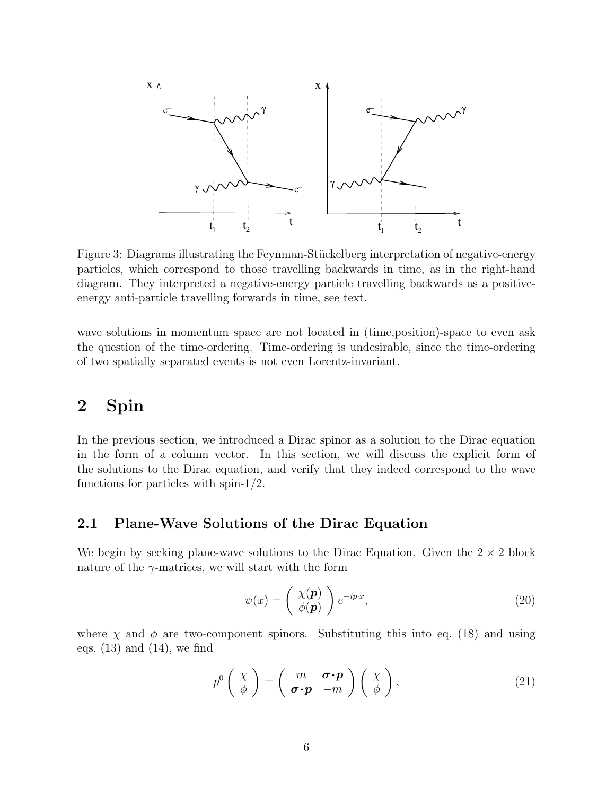

Figure 3: Diagrams illustrating the Feynman-Stückelberg interpretation of negative-energy particles, which correspond to those travelling backwards in time, as in the right-hand diagram. They interpreted a negative-energy particle travelling backwards as a positiveenergy anti-particle travelling forwards in time, see text.

wave solutions in momentum space are not located in (time,position)-space to even ask the question of the time-ordering. Time-ordering is undesirable, since the time-ordering of two spatially separated events is not even Lorentz-invariant.

### 2 Spin

In the previous section, we introduced a Dirac spinor as a solution to the Dirac equation in the form of a column vector. In this section, we will discuss the explicit form of the solutions to the Dirac equation, and verify that they indeed correspond to the wave functions for particles with spin-1/2.

#### 2.1 Plane-Wave Solutions of the Dirac Equation

We begin by seeking plane-wave solutions to the Dirac Equation. Given the  $2 \times 2$  block nature of the  $\gamma$ -matrices, we will start with the form

$$
\psi(x) = \begin{pmatrix} \chi(\mathbf{p}) \\ \phi(\mathbf{p}) \end{pmatrix} e^{-ip\cdot x},\tag{20}
$$

where  $\chi$  and  $\phi$  are two-component spinors. Substituting this into eq. (18) and using eqs.  $(13)$  and  $(14)$ , we find

$$
p^{0}\left(\begin{array}{c}\chi\\ \phi\end{array}\right)=\left(\begin{array}{cc}m&\boldsymbol{\sigma}\cdot\boldsymbol{p}\\ \boldsymbol{\sigma}\cdot\boldsymbol{p}&-m\end{array}\right)\left(\begin{array}{c}\chi\\ \phi\end{array}\right),\qquad (21)
$$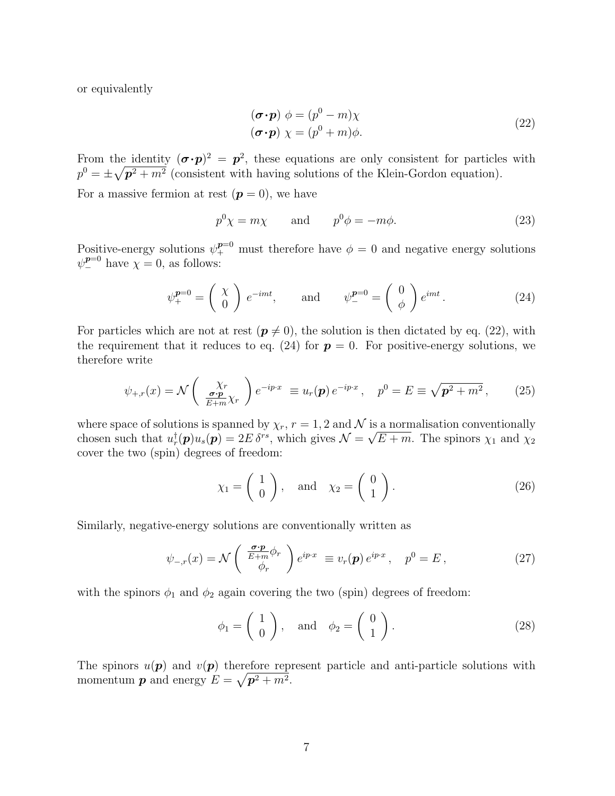or equivalently

$$
(\boldsymbol{\sigma} \cdot \boldsymbol{p}) \phi = (p^0 - m)\chi
$$
  

$$
(\boldsymbol{\sigma} \cdot \boldsymbol{p}) \chi = (p^0 + m)\phi.
$$
 (22)

From the identity  $(\sigma \cdot p)^2 = p^2$ , these equations are only consistent for particles with  $p^0 = \pm \sqrt{\mathbf{p}^2 + m^2}$  (consistent with having solutions of the Klein-Gordon equation).

For a massive fermion at rest  $(p = 0)$ , we have

$$
p^0 \chi = m \chi \qquad \text{and} \qquad p^0 \phi = -m \phi. \tag{23}
$$

Positive-energy solutions  $\psi^{p=0}_+$  must therefore have  $\phi = 0$  and negative energy solutions  $\psi_{-}^{p=0}$  have  $\chi=0$ , as follows:

$$
\psi_{+}^{p=0} = \begin{pmatrix} \chi \\ 0 \end{pmatrix} e^{-imt}, \quad \text{and} \quad \psi_{-}^{p=0} = \begin{pmatrix} 0 \\ \phi \end{pmatrix} e^{imt}. \quad (24)
$$

For particles which are not at rest  $(p \neq 0)$ , the solution is then dictated by eq. (22), with the requirement that it reduces to eq. (24) for  $p = 0$ . For positive-energy solutions, we therefore write

$$
\psi_{+,r}(x) = \mathcal{N}\left(\begin{array}{c} \chi_r \\ \frac{\sigma \cdot \mathbf{p}}{E + m} \chi_r \end{array}\right) e^{-ip \cdot x} \equiv u_r(\mathbf{p}) e^{-ip \cdot x}, \quad p^0 = E \equiv \sqrt{\mathbf{p}^2 + m^2}, \qquad (25)
$$

where space of solutions is spanned by  $\chi_r$ ,  $r = 1, 2$  and  $\mathcal N$  is a normalisation conventionally chosen such that  $u_r^{\dagger}(\mathbf{p})u_s(\mathbf{p}) = 2E \delta^{rs}$ , which gives  $\mathcal{N} = \sqrt{E+m}$ . The spinors  $\chi_1$  and  $\chi_2$ cover the two (spin) degrees of freedom:

$$
\chi_1 = \begin{pmatrix} 1 \\ 0 \end{pmatrix}, \quad \text{and} \quad \chi_2 = \begin{pmatrix} 0 \\ 1 \end{pmatrix}.
$$
 (26)

Similarly, negative-energy solutions are conventionally written as

$$
\psi_{-,r}(x) = \mathcal{N}\left(\begin{array}{c}\frac{\sigma \cdot \mathbf{p}}{E + m} \phi_r\\ \phi_r\end{array}\right) e^{ip \cdot x} \equiv v_r(\mathbf{p}) e^{ip \cdot x}, \quad p^0 = E \,, \tag{27}
$$

with the spinors  $\phi_1$  and  $\phi_2$  again covering the two (spin) degrees of freedom:

$$
\phi_1 = \begin{pmatrix} 1 \\ 0 \end{pmatrix}, \quad \text{and} \quad \phi_2 = \begin{pmatrix} 0 \\ 1 \end{pmatrix}.
$$
 (28)

The spinors  $u(\boldsymbol{p})$  and  $v(\boldsymbol{p})$  therefore represent particle and anti-particle solutions with momentum  $p$  and energy  $E = \sqrt{p^2 + m^2}$ .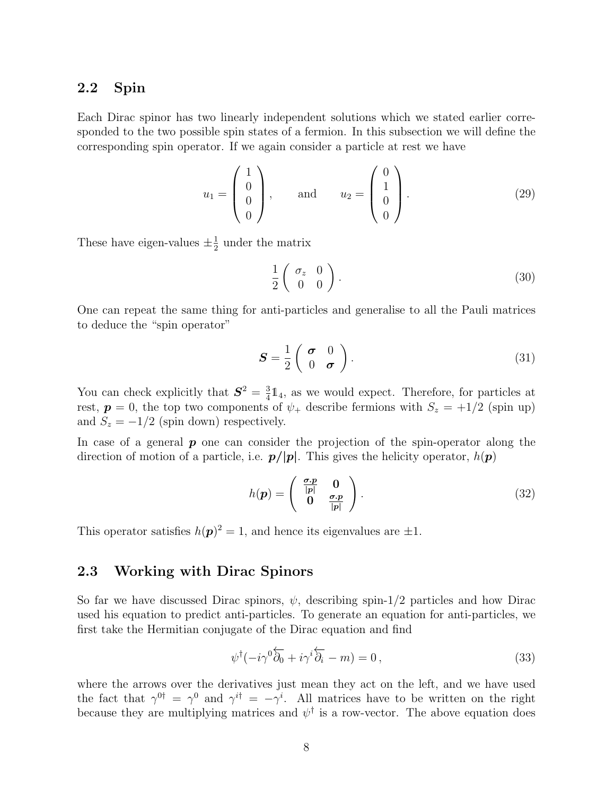#### 2.2 Spin

Each Dirac spinor has two linearly independent solutions which we stated earlier corresponded to the two possible spin states of a fermion. In this subsection we will define the corresponding spin operator. If we again consider a particle at rest we have

$$
u_1 = \begin{pmatrix} 1 \\ 0 \\ 0 \\ 0 \end{pmatrix}, \quad \text{and} \quad u_2 = \begin{pmatrix} 0 \\ 1 \\ 0 \\ 0 \end{pmatrix}.
$$
 (29)

These have eigen-values  $\pm \frac{1}{2}$  $\frac{1}{2}$  under the matrix

$$
\frac{1}{2} \left( \begin{array}{cc} \sigma_z & 0 \\ 0 & 0 \end{array} \right). \tag{30}
$$

One can repeat the same thing for anti-particles and generalise to all the Pauli matrices to deduce the "spin operator"

$$
\boldsymbol{S} = \frac{1}{2} \left( \begin{array}{cc} \boldsymbol{\sigma} & 0 \\ 0 & \boldsymbol{\sigma} \end{array} \right). \tag{31}
$$

You can check explicitly that  $S^2 = \frac{3}{4}$  $\frac{3}{4}$ 1<sub>4</sub>, as we would expect. Therefore, for particles at rest,  $p = 0$ , the top two components of  $\psi_+$  describe fermions with  $S_z = +1/2$  (spin up) and  $S_z = -1/2$  (spin down) respectively.

In case of a general  $\boldsymbol{p}$  one can consider the projection of the spin-operator along the direction of motion of a particle, i.e.  $p/|p|$ . This gives the helicity operator,  $h(p)$ 

$$
h(\mathbf{p}) = \begin{pmatrix} \frac{\sigma \cdot \mathbf{p}}{|\mathbf{p}|} & \mathbf{0} \\ \mathbf{0} & \frac{\sigma \cdot \mathbf{p}}{|\mathbf{p}|} \end{pmatrix}.
$$
 (32)

This operator satisfies  $h(\mathbf{p})^2 = 1$ , and hence its eigenvalues are  $\pm 1$ .

#### 2.3 Working with Dirac Spinors

So far we have discussed Dirac spinors,  $\psi$ , describing spin-1/2 particles and how Dirac used his equation to predict anti-particles. To generate an equation for anti-particles, we first take the Hermitian conjugate of the Dirac equation and find

$$
\psi^{\dagger}(-i\gamma^0\overleftarrow{\partial_0} + i\gamma^i\overleftarrow{\partial_i} - m) = 0, \qquad (33)
$$

where the arrows over the derivatives just mean they act on the left, and we have used the fact that  $\gamma^{0\dagger} = \gamma^0$  and  $\gamma^{i\dagger} = -\gamma^i$ . All matrices have to be written on the right because they are multiplying matrices and  $\psi^{\dagger}$  is a row-vector. The above equation does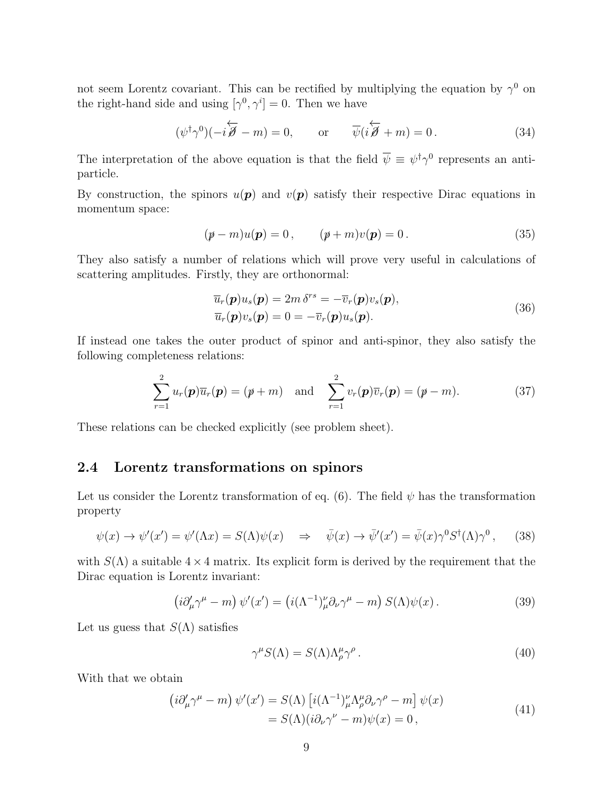not seem Lorentz covariant. This can be rectified by multiplying the equation by  $\gamma^0$  on the right-hand side and using  $[\gamma^0, \gamma^i] = 0$ . Then we have

$$
(\psi^{\dagger} \gamma^0)(-i\overleftarrow{\mathscr{B}} - m) = 0, \qquad \text{or} \qquad \overline{\psi}(i\overleftarrow{\mathscr{B}} + m) = 0. \tag{34}
$$

The interpretation of the above equation is that the field  $\overline{\psi} \equiv \psi^{\dagger} \gamma^0$  represents an antiparticle.

By construction, the spinors  $u(\mathbf{p})$  and  $v(\mathbf{p})$  satisfy their respective Dirac equations in momentum space:

$$
(p - m)u(p) = 0, \t\t (p + m)v(p) = 0.
$$
\t(35)

They also satisfy a number of relations which will prove very useful in calculations of scattering amplitudes. Firstly, they are orthonormal:

$$
\overline{u}_r(\mathbf{p})u_s(\mathbf{p}) = 2m \delta^{rs} = -\overline{v}_r(\mathbf{p})v_s(\mathbf{p}),\n\overline{u}_r(\mathbf{p})v_s(\mathbf{p}) = 0 = -\overline{v}_r(\mathbf{p})u_s(\mathbf{p}).
$$
\n(36)

If instead one takes the outer product of spinor and anti-spinor, they also satisfy the following completeness relations:

$$
\sum_{r=1}^{2} u_r(\mathbf{p}) \overline{u}_r(\mathbf{p}) = (\mathbf{p} + m) \quad \text{and} \quad \sum_{r=1}^{2} v_r(\mathbf{p}) \overline{v}_r(\mathbf{p}) = (\mathbf{p} - m). \tag{37}
$$

These relations can be checked explicitly (see problem sheet).

#### 2.4 Lorentz transformations on spinors

Let us consider the Lorentz transformation of eq. (6). The field  $\psi$  has the transformation property

$$
\psi(x) \to \psi'(x') = \psi'(\Lambda x) = S(\Lambda)\psi(x) \quad \Rightarrow \quad \bar{\psi}(x) \to \bar{\psi}'(x') = \bar{\psi}(x)\gamma^0 S^{\dagger}(\Lambda)\gamma^0, \tag{38}
$$

with  $S(\Lambda)$  a suitable  $4 \times 4$  matrix. Its explicit form is derived by the requirement that the Dirac equation is Lorentz invariant:

$$
\left(i\partial'_{\mu}\gamma^{\mu} - m\right)\psi'(x') = \left(i(\Lambda^{-1})_{\mu}^{\nu}\partial_{\nu}\gamma^{\mu} - m\right)S(\Lambda)\psi(x). \tag{39}
$$

Let us guess that  $S(\Lambda)$  satisfies

$$
\gamma^{\mu} S(\Lambda) = S(\Lambda) \Lambda^{\mu}_{\rho} \gamma^{\rho} . \tag{40}
$$

With that we obtain

$$
\begin{aligned} \left(i\partial'_{\mu}\gamma^{\mu} - m\right)\psi'(x') &= S(\Lambda)\left[i(\Lambda^{-1})_{\mu}^{\nu}\Lambda_{\rho}^{\mu}\partial_{\nu}\gamma^{\rho} - m\right]\psi(x) \\ &= S(\Lambda)(i\partial_{\nu}\gamma^{\nu} - m)\psi(x) = 0 \,, \end{aligned} \tag{41}
$$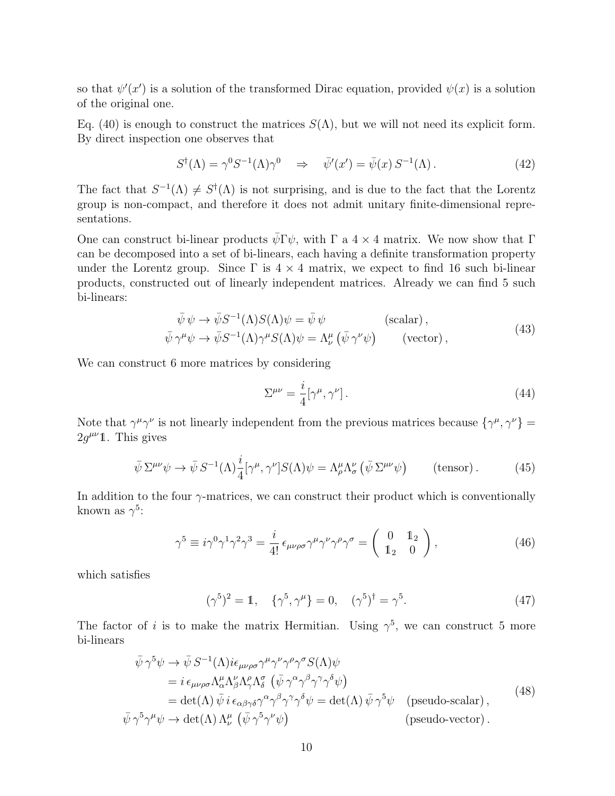so that  $\psi'(x')$  is a solution of the transformed Dirac equation, provided  $\psi(x)$  is a solution of the original one.

Eq. (40) is enough to construct the matrices  $S(\Lambda)$ , but we will not need its explicit form. By direct inspection one observes that

$$
S^{\dagger}(\Lambda) = \gamma^0 S^{-1}(\Lambda) \gamma^0 \quad \Rightarrow \quad \bar{\psi}'(x') = \bar{\psi}(x) \, S^{-1}(\Lambda) \,. \tag{42}
$$

The fact that  $S^{-1}(\Lambda) \neq S^{\dagger}(\Lambda)$  is not surprising, and is due to the fact that the Lorentz group is non-compact, and therefore it does not admit unitary finite-dimensional representations.

One can construct bi-linear products  $\bar{\psi} \Gamma \psi$ , with  $\Gamma$  a 4 × 4 matrix. We now show that  $\Gamma$ can be decomposed into a set of bi-linears, each having a definite transformation property under the Lorentz group. Since  $\Gamma$  is  $4 \times 4$  matrix, we expect to find 16 such bi-linear products, constructed out of linearly independent matrices. Already we can find 5 such bi-linears:

$$
\bar{\psi}\psi \to \bar{\psi}S^{-1}(\Lambda)S(\Lambda)\psi = \bar{\psi}\psi \qquad \text{(scalar)} ,\n\bar{\psi}\gamma^{\mu}\psi \to \bar{\psi}S^{-1}(\Lambda)\gamma^{\mu}S(\Lambda)\psi = \Lambda^{\mu}_{\nu}\left(\bar{\psi}\gamma^{\nu}\psi\right) \qquad \text{(vector)} ,
$$
\n(43)

We can construct 6 more matrices by considering

$$
\Sigma^{\mu\nu} = \frac{i}{4} [\gamma^{\mu}, \gamma^{\nu}]. \tag{44}
$$

Note that  $\gamma^{\mu}\gamma^{\nu}$  is not linearly independent from the previous matrices because  $\{\gamma^{\mu}, \gamma^{\nu}\} =$  $2g^{\mu\nu}\mathbb{1}$ . This gives

$$
\bar{\psi} \Sigma^{\mu\nu} \psi \to \bar{\psi} S^{-1}(\Lambda) \frac{i}{4} [\gamma^{\mu}, \gamma^{\nu}] S(\Lambda) \psi = \Lambda^{\mu}_{\rho} \Lambda^{\nu}_{\sigma} (\bar{\psi} \Sigma^{\mu\nu} \psi) \qquad \text{(tensor)}.
$$
 (45)

In addition to the four  $\gamma$ -matrices, we can construct their product which is conventionally known as  $\gamma^5$ :

$$
\gamma^5 \equiv i\gamma^0 \gamma^1 \gamma^2 \gamma^3 = \frac{i}{4!} \epsilon_{\mu\nu\rho\sigma} \gamma^\mu \gamma^\nu \gamma^\rho \gamma^\sigma = \begin{pmatrix} 0 & 1_2 \\ 1_2 & 0 \end{pmatrix},\tag{46}
$$

which satisfies

$$
(\gamma^5)^2 = 1, \quad \{\gamma^5, \gamma^\mu\} = 0, \quad (\gamma^5)^\dagger = \gamma^5. \tag{47}
$$

The factor of i is to make the matrix Hermitian. Using  $\gamma^5$ , we can construct 5 more bi-linears

$$
\begin{split}\n\bar{\psi}\gamma^{5}\psi &\rightarrow \bar{\psi}S^{-1}(\Lambda)i\epsilon_{\mu\nu\rho\sigma}\gamma^{\mu}\gamma^{\nu}\gamma^{\rho}\gamma^{\sigma}S(\Lambda)\psi \\
&= i\,\epsilon_{\mu\nu\rho\sigma}\Lambda^{\mu}_{\alpha}\Lambda^{\nu}_{\beta}\Lambda^{\rho}_{\gamma}\Lambda^{\sigma}_{\delta}\left(\bar{\psi}\gamma^{\alpha}\gamma^{\beta}\gamma^{\gamma}\gamma^{\delta}\psi\right) \\
&= \det(\Lambda)\,\bar{\psi}\,i\,\epsilon_{\alpha\beta\gamma\delta}\gamma^{\alpha}\gamma^{\beta}\gamma^{\gamma}\gamma^{\delta}\psi = \det(\Lambda)\,\bar{\psi}\,\gamma^{5}\psi \quad \text{(pseudo-scalar)}\,, \\
\bar{\psi}\,\gamma^{5}\gamma^{\mu}\psi &\rightarrow \det(\Lambda)\,\Lambda^{\mu}_{\nu}\left(\bar{\psi}\,\gamma^{5}\gamma^{\nu}\psi\right) \quad \text{(pseudo-vector)}\,.\n\end{split} \tag{48}
$$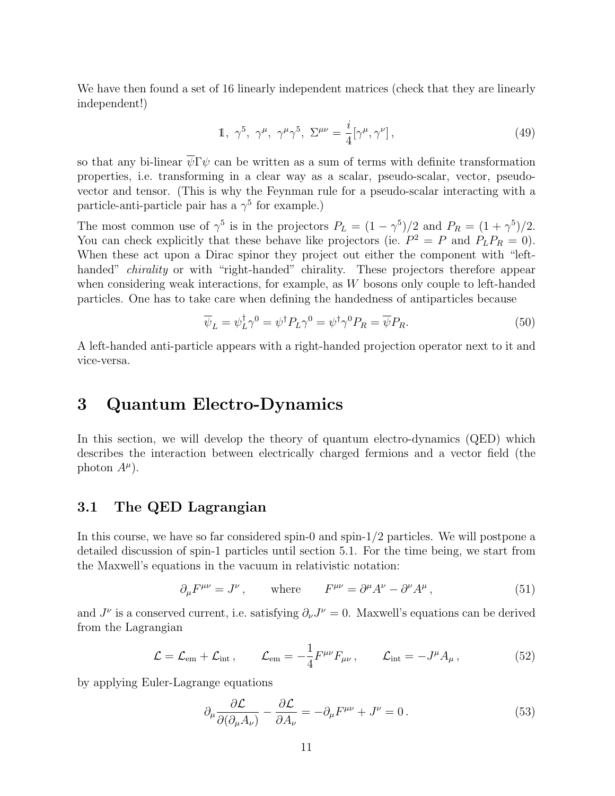We have then found a set of 16 linearly independent matrices (check that they are linearly independent!)

$$
1, \ \gamma^5, \ \gamma^\mu, \ \gamma^\mu \gamma^5, \ \Sigma^{\mu\nu} = \frac{i}{4} [\gamma^\mu, \gamma^\nu], \tag{49}
$$

so that any bi-linear  $\overline{\psi} \Gamma \psi$  can be written as a sum of terms with definite transformation properties, i.e. transforming in a clear way as a scalar, pseudo-scalar, vector, pseudovector and tensor. (This is why the Feynman rule for a pseudo-scalar interacting with a particle-anti-particle pair has a  $\gamma^5$  for example.)

The most common use of  $\gamma^5$  is in the projectors  $P_L = (1 - \gamma^5)/2$  and  $P_R = (1 + \gamma^5)/2$ . You can check explicitly that these behave like projectors (ie.  $P^2 = P$  and  $P_L P_R = 0$ ). When these act upon a Dirac spinor they project out either the component with "lefthanded" *chirality* or with "right-handed" chirality. These projectors therefore appear when considering weak interactions, for example, as W bosons only couple to left-handed particles. One has to take care when defining the handedness of antiparticles because

$$
\overline{\psi}_L = \psi_L^{\dagger} \gamma^0 = \psi^{\dagger} P_L \gamma^0 = \psi^{\dagger} \gamma^0 P_R = \overline{\psi} P_R. \tag{50}
$$

A left-handed anti-particle appears with a right-handed projection operator next to it and vice-versa.

### 3 Quantum Electro-Dynamics

In this section, we will develop the theory of quantum electro-dynamics (QED) which describes the interaction between electrically charged fermions and a vector field (the photon  $A^{\mu}$ ).

#### 3.1 The QED Lagrangian

In this course, we have so far considered spin-0 and spin-1/2 particles. We will postpone a detailed discussion of spin-1 particles until section 5.1. For the time being, we start from the Maxwell's equations in the vacuum in relativistic notation:

$$
\partial_{\mu}F^{\mu\nu} = J^{\nu} , \qquad \text{where} \qquad F^{\mu\nu} = \partial^{\mu}A^{\nu} - \partial^{\nu}A^{\mu} , \qquad (51)
$$

and  $J^{\nu}$  is a conserved current, i.e. satisfying  $\partial_{\nu}J^{\nu}=0$ . Maxwell's equations can be derived from the Lagrangian

$$
\mathcal{L} = \mathcal{L}_{em} + \mathcal{L}_{int} , \qquad \mathcal{L}_{em} = -\frac{1}{4} F^{\mu\nu} F_{\mu\nu} , \qquad \mathcal{L}_{int} = -J^{\mu} A_{\mu} , \qquad (52)
$$

by applying Euler-Lagrange equations

$$
\partial_{\mu} \frac{\partial \mathcal{L}}{\partial(\partial_{\mu} A_{\nu})} - \frac{\partial \mathcal{L}}{\partial A_{\nu}} = -\partial_{\mu} F^{\mu \nu} + J^{\nu} = 0. \tag{53}
$$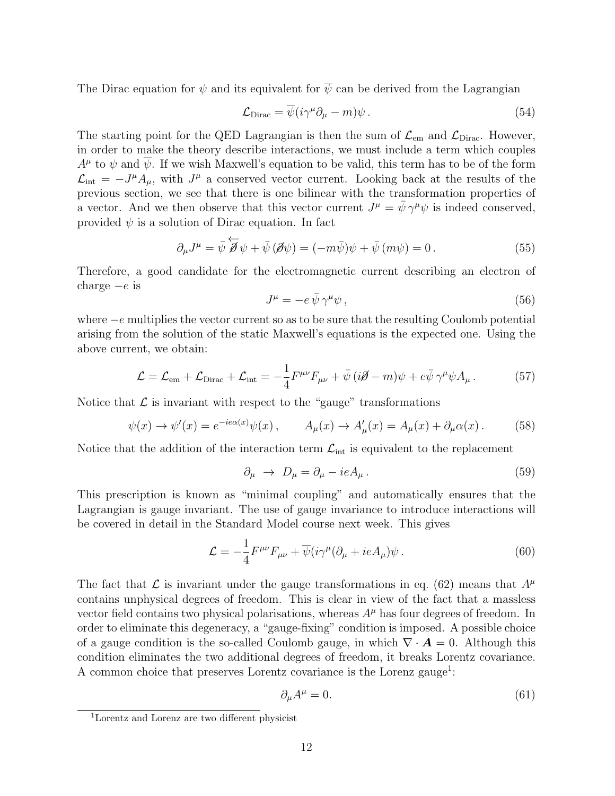The Dirac equation for  $\psi$  and its equivalent for  $\overline{\psi}$  can be derived from the Lagrangian

$$
\mathcal{L}_{\text{Dirac}} = \overline{\psi}(i\gamma^{\mu}\partial_{\mu} - m)\psi. \tag{54}
$$

The starting point for the QED Lagrangian is then the sum of  $\mathcal{L}_{em}$  and  $\mathcal{L}_{Dirac}$ . However, in order to make the theory describe interactions, we must include a term which couples  $A^{\mu}$  to  $\psi$  and  $\overline{\psi}$ . If we wish Maxwell's equation to be valid, this term has to be of the form  $\mathcal{L}_{\text{int}} = -J^{\mu}A_{\mu}$ , with  $J^{\mu}$  a conserved vector current. Looking back at the results of the previous section, we see that there is one bilinear with the transformation properties of a vector. And we then observe that this vector current  $J^{\mu} = \bar{\psi} \gamma^{\mu} \psi$  is indeed conserved, provided  $\psi$  is a solution of Dirac equation. In fact

$$
\partial_{\mu}J^{\mu} = \bar{\psi} \overleftarrow{\partial} \psi + \bar{\psi} (\partial \psi) = (-m\bar{\psi})\psi + \bar{\psi} (m\psi) = 0.
$$
 (55)

Therefore, a good candidate for the electromagnetic current describing an electron of charge  $-e$  is

$$
J^{\mu} = -e \,\bar{\psi} \,\gamma^{\mu} \psi \,, \tag{56}
$$

where  $-e$  multiplies the vector current so as to be sure that the resulting Coulomb potential arising from the solution of the static Maxwell's equations is the expected one. Using the above current, we obtain:

$$
\mathcal{L} = \mathcal{L}_{em} + \mathcal{L}_{Dirac} + \mathcal{L}_{int} = -\frac{1}{4} F^{\mu\nu} F_{\mu\nu} + \bar{\psi} \left( i \partial \!\!\!/ - m \right) \psi + e \bar{\psi} \gamma^{\mu} \psi A_{\mu} \,. \tag{57}
$$

Notice that  $\mathcal L$  is invariant with respect to the "gauge" transformations

$$
\psi(x) \to \psi'(x) = e^{-ie\alpha(x)}\psi(x) , \qquad A_{\mu}(x) \to A'_{\mu}(x) = A_{\mu}(x) + \partial_{\mu}\alpha(x) . \tag{58}
$$

Notice that the addition of the interaction term  $\mathcal{L}_{int}$  is equivalent to the replacement

$$
\partial_{\mu} \rightarrow D_{\mu} = \partial_{\mu} - ieA_{\mu}.
$$
\n(59)

This prescription is known as "minimal coupling" and automatically ensures that the Lagrangian is gauge invariant. The use of gauge invariance to introduce interactions will be covered in detail in the Standard Model course next week. This gives

$$
\mathcal{L} = -\frac{1}{4} F^{\mu\nu} F_{\mu\nu} + \overline{\psi} (i\gamma^{\mu} (\partial_{\mu} + ieA_{\mu}) \psi \,. \tag{60}
$$

The fact that L is invariant under the gauge transformations in eq. (62) means that  $A^{\mu}$ contains unphysical degrees of freedom. This is clear in view of the fact that a massless vector field contains two physical polarisations, whereas  $A^{\mu}$  has four degrees of freedom. In order to eliminate this degeneracy, a "gauge-fixing" condition is imposed. A possible choice of a gauge condition is the so-called Coulomb gauge, in which  $\nabla \cdot \mathbf{A} = 0$ . Although this condition eliminates the two additional degrees of freedom, it breaks Lorentz covariance. A common choice that preserves Lorentz covariance is the Lorenz gauge<sup>1</sup>:

$$
\partial_{\mu}A^{\mu} = 0. \tag{61}
$$

<sup>1</sup>Lorentz and Lorenz are two different physicist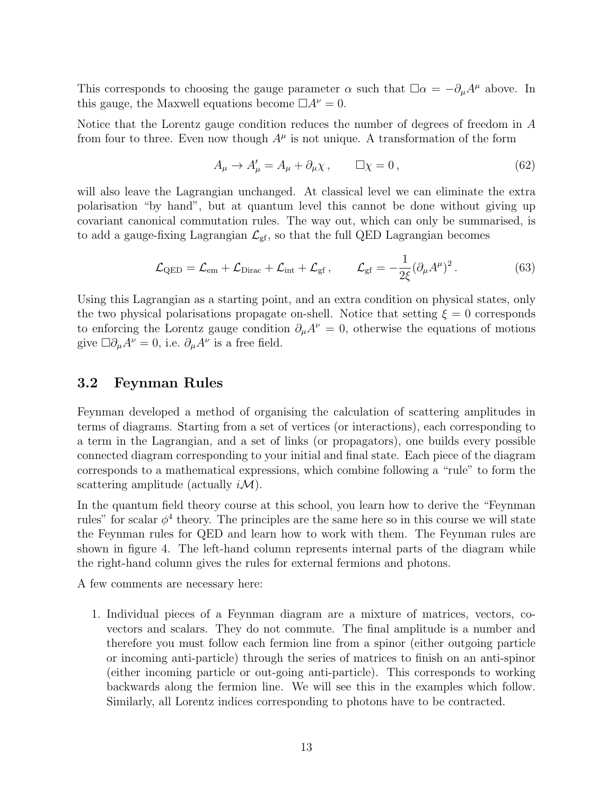This corresponds to choosing the gauge parameter  $\alpha$  such that  $\Box \alpha = -\partial_{\mu}A^{\mu}$  above. In this gauge, the Maxwell equations become  $\Box A^{\nu} = 0$ .

Notice that the Lorentz gauge condition reduces the number of degrees of freedom in A from four to three. Even now though  $A^{\mu}$  is not unique. A transformation of the form

$$
A_{\mu} \to A'_{\mu} = A_{\mu} + \partial_{\mu} \chi \,, \qquad \Box \chi = 0 \,, \tag{62}
$$

will also leave the Lagrangian unchanged. At classical level we can eliminate the extra polarisation "by hand", but at quantum level this cannot be done without giving up covariant canonical commutation rules. The way out, which can only be summarised, is to add a gauge-fixing Lagrangian  $\mathcal{L}_{\text{gf}}$ , so that the full QED Lagrangian becomes

$$
\mathcal{L}_{\text{QED}} = \mathcal{L}_{\text{em}} + \mathcal{L}_{\text{Dirac}} + \mathcal{L}_{\text{int}} + \mathcal{L}_{\text{gf}} , \qquad \mathcal{L}_{\text{gf}} = -\frac{1}{2\xi} (\partial_{\mu} A^{\mu})^2 . \tag{63}
$$

Using this Lagrangian as a starting point, and an extra condition on physical states, only the two physical polarisations propagate on-shell. Notice that setting  $\xi = 0$  corresponds to enforcing the Lorentz gauge condition  $\partial_{\mu}A^{\nu}=0$ , otherwise the equations of motions give  $\Box \partial_{\mu}A^{\nu} = 0$ , i.e.  $\partial_{\mu}A^{\nu}$  is a free field.

#### 3.2 Feynman Rules

Feynman developed a method of organising the calculation of scattering amplitudes in terms of diagrams. Starting from a set of vertices (or interactions), each corresponding to a term in the Lagrangian, and a set of links (or propagators), one builds every possible connected diagram corresponding to your initial and final state. Each piece of the diagram corresponds to a mathematical expressions, which combine following a "rule" to form the scattering amplitude (actually  $i\mathcal{M}$ ).

In the quantum field theory course at this school, you learn how to derive the "Feynman rules" for scalar  $\phi^4$  theory. The principles are the same here so in this course we will state the Feynman rules for QED and learn how to work with them. The Feynman rules are shown in figure 4. The left-hand column represents internal parts of the diagram while the right-hand column gives the rules for external fermions and photons.

A few comments are necessary here:

1. Individual pieces of a Feynman diagram are a mixture of matrices, vectors, covectors and scalars. They do not commute. The final amplitude is a number and therefore you must follow each fermion line from a spinor (either outgoing particle or incoming anti-particle) through the series of matrices to finish on an anti-spinor (either incoming particle or out-going anti-particle). This corresponds to working backwards along the fermion line. We will see this in the examples which follow. Similarly, all Lorentz indices corresponding to photons have to be contracted.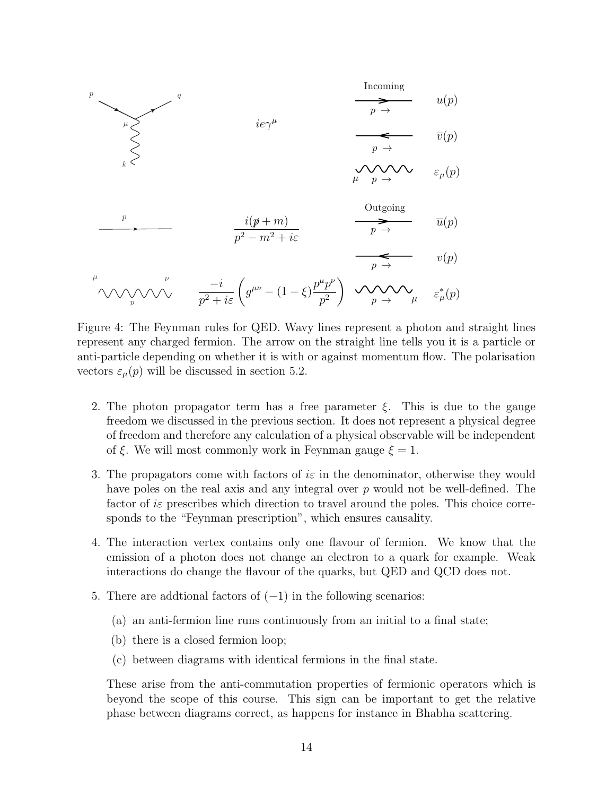

Figure 4: The Feynman rules for QED. Wavy lines represent a photon and straight lines represent any charged fermion. The arrow on the straight line tells you it is a particle or anti-particle depending on whether it is with or against momentum flow. The polarisation vectors  $\varepsilon_u(p)$  will be discussed in section 5.2.

- 2. The photon propagator term has a free parameter  $\xi$ . This is due to the gauge freedom we discussed in the previous section. It does not represent a physical degree of freedom and therefore any calculation of a physical observable will be independent of  $\xi$ . We will most commonly work in Feynman gauge  $\xi = 1$ .
- 3. The propagators come with factors of is in the denominator, otherwise they would have poles on the real axis and any integral over p would not be well-defined. The factor of  $i\varepsilon$  prescribes which direction to travel around the poles. This choice corresponds to the "Feynman prescription", which ensures causality.
- 4. The interaction vertex contains only one flavour of fermion. We know that the emission of a photon does not change an electron to a quark for example. Weak interactions do change the flavour of the quarks, but QED and QCD does not.
- 5. There are additional factors of  $(-1)$  in the following scenarios:
	- (a) an anti-fermion line runs continuously from an initial to a final state;
	- (b) there is a closed fermion loop;
	- (c) between diagrams with identical fermions in the final state.

These arise from the anti-commutation properties of fermionic operators which is beyond the scope of this course. This sign can be important to get the relative phase between diagrams correct, as happens for instance in Bhabha scattering.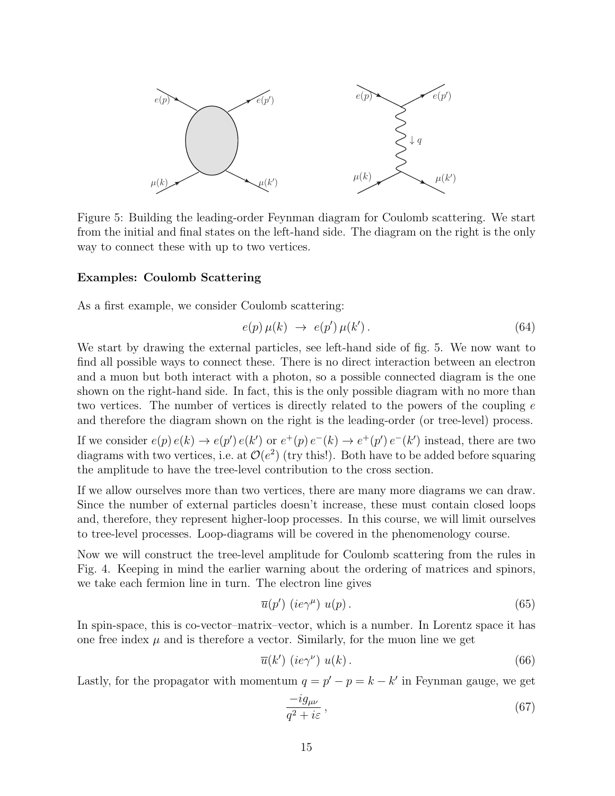

Figure 5: Building the leading-order Feynman diagram for Coulomb scattering. We start from the initial and final states on the left-hand side. The diagram on the right is the only way to connect these with up to two vertices.

#### Examples: Coulomb Scattering

As a first example, we consider Coulomb scattering:

$$
e(p)\,\mu(k)\,\,\rightarrow\,\,e(p')\,\mu(k')\,.\tag{64}
$$

We start by drawing the external particles, see left-hand side of fig. 5. We now want to find all possible ways to connect these. There is no direct interaction between an electron and a muon but both interact with a photon, so a possible connected diagram is the one shown on the right-hand side. In fact, this is the only possible diagram with no more than two vertices. The number of vertices is directly related to the powers of the coupling  $e$ and therefore the diagram shown on the right is the leading-order (or tree-level) process.

If we consider  $e(p) e(k) \to e(p') e(k')$  or  $e^+(p) e^-(k) \to e^+(p') e^-(k')$  instead, there are two diagrams with two vertices, i.e. at  $\mathcal{O}(e^2)$  (try this!). Both have to be added before squaring the amplitude to have the tree-level contribution to the cross section.

If we allow ourselves more than two vertices, there are many more diagrams we can draw. Since the number of external particles doesn't increase, these must contain closed loops and, therefore, they represent higher-loop processes. In this course, we will limit ourselves to tree-level processes. Loop-diagrams will be covered in the phenomenology course.

Now we will construct the tree-level amplitude for Coulomb scattering from the rules in Fig. 4. Keeping in mind the earlier warning about the ordering of matrices and spinors, we take each fermion line in turn. The electron line gives

$$
\overline{u}(p')\ (ie\gamma^{\mu})\ u(p)\,. \tag{65}
$$

In spin-space, this is co-vector–matrix–vector, which is a number. In Lorentz space it has one free index  $\mu$  and is therefore a vector. Similarly, for the muon line we get

$$
\overline{u}(k')\ (ie\gamma^{\nu})\ u(k)\,. \tag{66}
$$

Lastly, for the propagator with momentum  $q = p' - p = k - k'$  in Feynman gauge, we get

$$
\frac{-ig_{\mu\nu}}{q^2 + i\varepsilon},\tag{67}
$$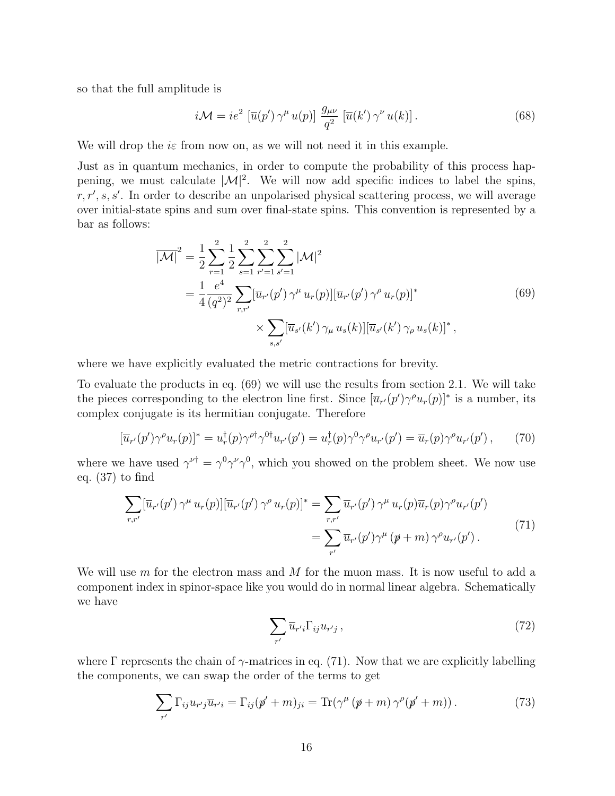so that the full amplitude is

$$
i\mathcal{M} = ie^2 \left[ \overline{u}(p') \, \gamma^{\mu} \, u(p) \right] \, \frac{g_{\mu\nu}}{q^2} \left[ \overline{u}(k') \, \gamma^{\nu} \, u(k) \right]. \tag{68}
$$

We will drop the  $i\varepsilon$  from now on, as we will not need it in this example.

Just as in quantum mechanics, in order to compute the probability of this process happening, we must calculate  $|\mathcal{M}|^2$ . We will now add specific indices to label the spins,  $r, r', s, s'$ . In order to describe an unpolarised physical scattering process, we will average over initial-state spins and sum over final-state spins. This convention is represented by a bar as follows:

$$
\overline{|\mathcal{M}|}^2 = \frac{1}{2} \sum_{r=1}^2 \frac{1}{2} \sum_{s=1}^2 \sum_{r'=1}^2 \sum_{s'=1}^2 |\mathcal{M}|^2
$$
  
= 
$$
\frac{1}{4} \frac{e^4}{(q^2)^2} \sum_{r,r'} [\overline{u}_{r'}(p') \gamma^{\mu} u_r(p)][\overline{u}_{r'}(p') \gamma^{\rho} u_r(p)]^*
$$
  

$$
\times \sum_{s,s'} [\overline{u}_{s'}(k') \gamma_{\mu} u_s(k)][\overline{u}_{s'}(k') \gamma_{\rho} u_s(k)]^*,
$$
 (69)

where we have explicitly evaluated the metric contractions for brevity.

To evaluate the products in eq. (69) we will use the results from section 2.1. We will take the pieces corresponding to the electron line first. Since  $[\overline{u}_{r'}(p')\gamma^{\rho}u_{r}(p)]^*$  is a number, its complex conjugate is its hermitian conjugate. Therefore

$$
[\overline{u}_{r'}(p')\gamma^{\rho}u_r(p)]^* = u_r^{\dagger}(p)\gamma^{\rho\dagger}\gamma^{0\dagger}u_{r'}(p') = u_r^{\dagger}(p)\gamma^0\gamma^{\rho}u_{r'}(p') = \overline{u}_r(p)\gamma^{\rho}u_{r'}(p'),\qquad(70)
$$

where we have used  $\gamma^{\nu\dagger} = \gamma^0 \gamma^\nu \gamma^0$ , which you showed on the problem sheet. We now use eq. (37) to find

$$
\sum_{r,r'} [\overline{u}_{r'}(p')\,\gamma^{\mu}\,u_{r}(p)][\overline{u}_{r'}(p')\,\gamma^{\rho}\,u_{r}(p)]^* = \sum_{r,r'} \overline{u}_{r'}(p')\,\gamma^{\mu}\,u_{r}(p)\overline{u}_{r}(p)\gamma^{\rho}u_{r'}(p')
$$
\n
$$
= \sum_{r'} \overline{u}_{r'}(p')\gamma^{\mu}\,(p+m)\,\gamma^{\rho}u_{r'}(p'). \tag{71}
$$

We will use  $m$  for the electron mass and  $M$  for the muon mass. It is now useful to add a component index in spinor-space like you would do in normal linear algebra. Schematically we have

$$
\sum_{r'} \overline{u}_{r'i} \Gamma_{ij} u_{r'j} ,\qquad (72)
$$

where Γ represents the chain of  $\gamma$ -matrices in eq. (71). Now that we are explicitly labelling the components, we can swap the order of the terms to get

$$
\sum_{r'} \Gamma_{ij} u_{r'j} \overline{u}_{r'i} = \Gamma_{ij} (p' + m)_{ji} = \text{Tr} (\gamma^{\mu} (p + m) \gamma^{\rho} (p' + m)). \tag{73}
$$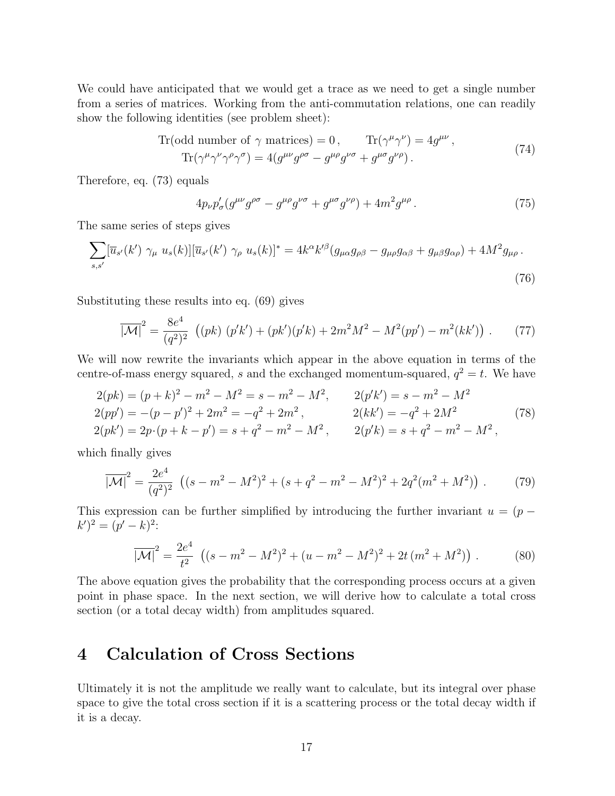We could have anticipated that we would get a trace as we need to get a single number from a series of matrices. Working from the anti-commutation relations, one can readily show the following identities (see problem sheet):

Tr(odd number of 
$$
\gamma
$$
 matrices) = 0, Tr( $\gamma^{\mu} \gamma^{\nu}$ ) = 4 $g^{\mu\nu}$ ,  
Tr( $\gamma^{\mu} \gamma^{\nu} \gamma^{\rho} \gamma^{\sigma}$ ) = 4( $g^{\mu\nu} g^{\rho\sigma} - g^{\mu\rho} g^{\nu\sigma} + g^{\mu\sigma} g^{\nu\rho}$ ). (74)

Therefore, eq. (73) equals

$$
4p_{\nu}p_{\sigma}^{\prime}(g^{\mu\nu}g^{\rho\sigma} - g^{\mu\rho}g^{\nu\sigma} + g^{\mu\sigma}g^{\nu\rho}) + 4m^2g^{\mu\rho}.
$$
\n(75)

The same series of steps gives

$$
\sum_{s,s'} [\overline{u}_{s'}(k') \ \gamma_\mu \ u_s(k)][\overline{u}_{s'}(k') \ \gamma_\rho \ u_s(k)]^* = 4k^\alpha k'^\beta (g_{\mu\alpha}g_{\rho\beta} - g_{\mu\rho}g_{\alpha\beta} + g_{\mu\beta}g_{\alpha\rho}) + 4M^2 g_{\mu\rho} \,. \tag{76}
$$

Substituting these results into eq. (69) gives

$$
\overline{|\mathcal{M}|}^2 = \frac{8e^4}{(q^2)^2} \left( (pk) \ (p'k') + (pk')(p'k) + 2m^2M^2 - M^2(pp') - m^2(kk') \right) \,. \tag{77}
$$

We will now rewrite the invariants which appear in the above equation in terms of the centre-of-mass energy squared, s and the exchanged momentum-squared,  $q^2 = t$ . We have

$$
2(pk) = (p+k)^2 - m^2 - M^2 = s - m^2 - M^2, \t 2(p'k') = s - m^2 - M^2 2(pp') = -(p-p')^2 + 2m^2 = -q^2 + 2m^2, \t 2(kk') = -q^2 + 2M^2 2(pk') = 2p \cdot (p+k-p') = s + q^2 - m^2 - M^2, \t 2(p'k) = s + q^2 - m^2 - M^2,
$$
 (78)

which finally gives

$$
\overline{|\mathcal{M}|}^2 = \frac{2e^4}{(q^2)^2} \left( (s - m^2 - M^2)^2 + (s + q^2 - m^2 - M^2)^2 + 2q^2(m^2 + M^2) \right). \tag{79}
$$

This expression can be further simplified by introducing the further invariant  $u = (p (k')^2 = (p'-k)^2$ :

$$
\overline{|\mathcal{M}|}^2 = \frac{2e^4}{t^2} \left( (s - m^2 - M^2)^2 + (u - m^2 - M^2)^2 + 2t \left( m^2 + M^2 \right) \right). \tag{80}
$$

The above equation gives the probability that the corresponding process occurs at a given point in phase space. In the next section, we will derive how to calculate a total cross section (or a total decay width) from amplitudes squared.

### 4 Calculation of Cross Sections

Ultimately it is not the amplitude we really want to calculate, but its integral over phase space to give the total cross section if it is a scattering process or the total decay width if it is a decay.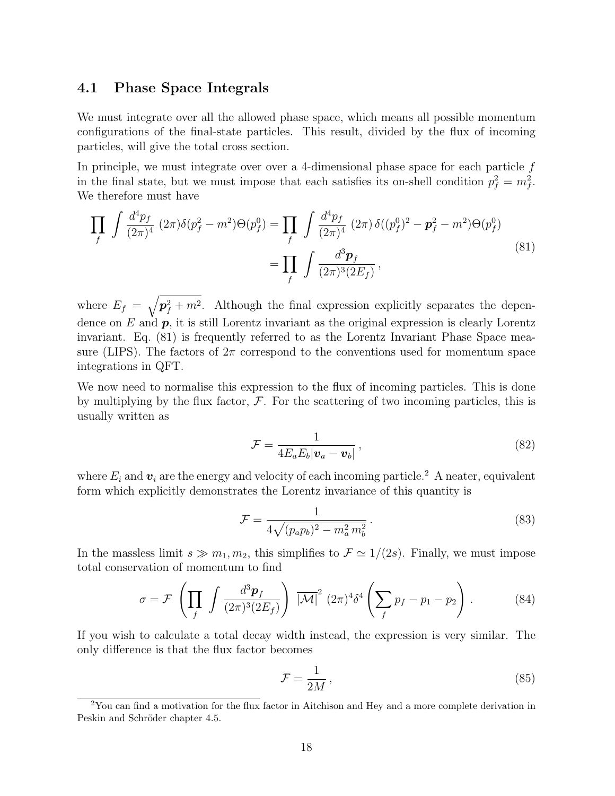#### 4.1 Phase Space Integrals

We must integrate over all the allowed phase space, which means all possible momentum configurations of the final-state particles. This result, divided by the flux of incoming particles, will give the total cross section.

In principle, we must integrate over over a 4-dimensional phase space for each particle  $f$ in the final state, but we must impose that each satisfies its on-shell condition  $p_f^2 = m_f^2$ . We therefore must have

$$
\prod_{f} \int \frac{d^4 p_f}{(2\pi)^4} (2\pi) \delta(p_f^2 - m^2) \Theta(p_f^0) = \prod_{f} \int \frac{d^4 p_f}{(2\pi)^4} (2\pi) \delta((p_f^0)^2 - p_f^2 - m^2) \Theta(p_f^0)
$$
\n
$$
= \prod_{f} \int \frac{d^3 p_f}{(2\pi)^3 (2E_f)},
$$
\n(81)

where  $E_f = \sqrt{p_f^2 + m^2}$ . Although the final expression explicitly separates the dependence on  $E$  and  $p$ , it is still Lorentz invariant as the original expression is clearly Lorentz invariant. Eq. (81) is frequently referred to as the Lorentz Invariant Phase Space measure (LIPS). The factors of  $2\pi$  correspond to the conventions used for momentum space integrations in QFT.

We now need to normalise this expression to the flux of incoming particles. This is done by multiplying by the flux factor,  $\mathcal F$ . For the scattering of two incoming particles, this is usually written as

$$
\mathcal{F} = \frac{1}{4E_aE_b|\mathbf{v}_a - \mathbf{v}_b|},\tag{82}
$$

where  $E_i$  and  $v_i$  are the energy and velocity of each incoming particle.<sup>2</sup> A neater, equivalent form which explicitly demonstrates the Lorentz invariance of this quantity is

$$
\mathcal{F} = \frac{1}{4\sqrt{(p_a p_b)^2 - m_a^2 m_b^2}}.
$$
\n(83)

In the massless limit  $s \gg m_1, m_2$ , this simplifies to  $\mathcal{F} \simeq 1/(2s)$ . Finally, we must impose total conservation of momentum to find

$$
\sigma = \mathcal{F}\left(\prod_{f} \int \frac{d^3 \mathbf{p}_f}{(2\pi)^3 (2E_f)}\right) \overline{|\mathcal{M}|}^2 (2\pi)^4 \delta^4 \left(\sum_{f} p_f - p_1 - p_2\right). \tag{84}
$$

If you wish to calculate a total decay width instead, the expression is very similar. The only difference is that the flux factor becomes

$$
\mathcal{F} = \frac{1}{2M},\tag{85}
$$

<sup>&</sup>lt;sup>2</sup>You can find a motivation for the flux factor in Aitchison and Hey and a more complete derivation in Peskin and Schröder chapter 4.5.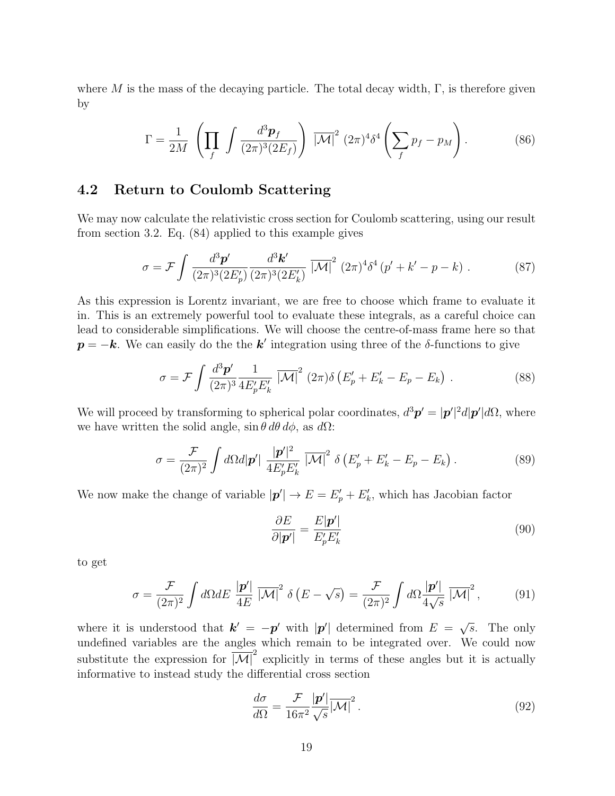where M is the mass of the decaying particle. The total decay width,  $\Gamma$ , is therefore given by

$$
\Gamma = \frac{1}{2M} \left( \prod_f \int \frac{d^3 \mathbf{p}_f}{(2\pi)^3 (2E_f)} \right) \overline{|M|}^2 (2\pi)^4 \delta^4 \left( \sum_f p_f - p_M \right). \tag{86}
$$

#### 4.2 Return to Coulomb Scattering

We may now calculate the relativistic cross section for Coulomb scattering, using our result from section 3.2. Eq. (84) applied to this example gives

$$
\sigma = \mathcal{F} \int \frac{d^3 \mathbf{p}'}{(2\pi)^3 (2E'_p)} \frac{d^3 \mathbf{k}'}{(2\pi)^3 (2E'_k)} \overline{|\mathcal{M}|}^2 (2\pi)^4 \delta^4 (p' + k' - p - k) . \tag{87}
$$

As this expression is Lorentz invariant, we are free to choose which frame to evaluate it in. This is an extremely powerful tool to evaluate these integrals, as a careful choice can lead to considerable simplifications. We will choose the centre-of-mass frame here so that  $p = -k$ . We can easily do the the k' integration using three of the δ-functions to give

$$
\sigma = \mathcal{F} \int \frac{d^3 \mathbf{p}'}{(2\pi)^3} \frac{1}{4E_p'E_k'} \overline{|\mathcal{M}|}^2 (2\pi)\delta \left(E_p' + E_k' - E_p - E_k\right). \tag{88}
$$

We will proceed by transforming to spherical polar coordinates,  $d^3\mathbf{p}' = |\mathbf{p}'|^2 d|\mathbf{p}'| d\Omega$ , where we have written the solid angle,  $\sin \theta \, d\theta \, d\phi$ , as  $d\Omega$ :

$$
\sigma = \frac{\mathcal{F}}{(2\pi)^2} \int d\Omega d|\mathbf{p}'| \frac{|\mathbf{p}'|^2}{4E_p'E_k'} \overline{|\mathcal{M}|}^2 \delta \left(E_p' + E_k' - E_p - E_k\right). \tag{89}
$$

We now make the change of variable  $|\mathbf{p}'| \to E = E'_{p} + E'_{k}$ , which has Jacobian factor

$$
\frac{\partial E}{\partial |\mathbf{p}'|} = \frac{E|\mathbf{p}'|}{E'_p E'_k} \tag{90}
$$

to get

$$
\sigma = \frac{\mathcal{F}}{(2\pi)^2} \int d\Omega dE \frac{|\mathbf{p}'|}{4E} \overline{|\mathcal{M}|}^2 \delta(E - \sqrt{s}) = \frac{\mathcal{F}}{(2\pi)^2} \int d\Omega \frac{|\mathbf{p}'|}{4\sqrt{s}} \overline{|\mathcal{M}|}^2, \tag{91}
$$

where it is understood that  $\mathbf{k}' = -\mathbf{p}'$  with  $|\mathbf{p}'|$  determined from  $E = \sqrt{s}$ . The only undefined variables are the angles which remain to be integrated over. We could now substitute the expression for  $\overline{|\mathcal{M}|}^2$  explicitly in terms of these angles but it is actually informative to instead study the differential cross section

$$
\frac{d\sigma}{d\Omega} = \frac{\mathcal{F}}{16\pi^2} \frac{|\mathbf{p}'|}{\sqrt{s}} |\mathcal{M}|^2.
$$
\n(92)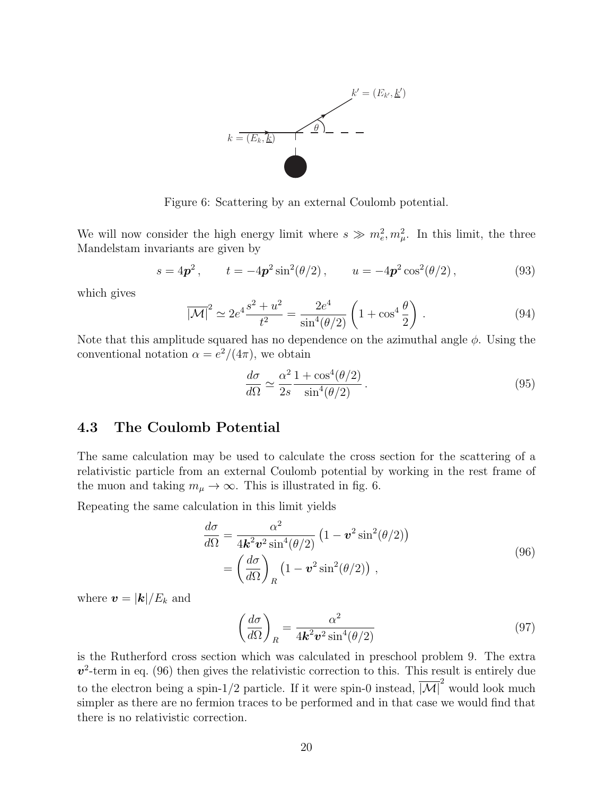

Figure 6: Scattering by an external Coulomb potential.

We will now consider the high energy limit where  $s \gg m_e^2, m_\mu^2$ . In this limit, the three Mandelstam invariants are given by

$$
s = 4p^2
$$
,  $t = -4p^2 \sin^2(\theta/2)$ ,  $u = -4p^2 \cos^2(\theta/2)$ , (93)

which gives

$$
\overline{|\mathcal{M}|}^2 \simeq 2e^4 \frac{s^2 + u^2}{t^2} = \frac{2e^4}{\sin^4(\theta/2)} \left(1 + \cos^4\frac{\theta}{2}\right). \tag{94}
$$

Note that this amplitude squared has no dependence on the azimuthal angle  $\phi$ . Using the conventional notation  $\alpha = e^2/(4\pi)$ , we obtain

$$
\frac{d\sigma}{d\Omega} \simeq \frac{\alpha^2}{2s} \frac{1 + \cos^4(\theta/2)}{\sin^4(\theta/2)}.
$$
\n(95)

#### 4.3 The Coulomb Potential

The same calculation may be used to calculate the cross section for the scattering of a relativistic particle from an external Coulomb potential by working in the rest frame of the muon and taking  $m_{\mu} \rightarrow \infty$ . This is illustrated in fig. 6.

Repeating the same calculation in this limit yields

$$
\frac{d\sigma}{d\Omega} = \frac{\alpha^2}{4\mathbf{k}^2 \mathbf{v}^2 \sin^4(\theta/2)} \left(1 - \mathbf{v}^2 \sin^2(\theta/2)\right)
$$

$$
= \left(\frac{d\sigma}{d\Omega}\right)_R \left(1 - \mathbf{v}^2 \sin^2(\theta/2)\right),\tag{96}
$$

where  $\boldsymbol{v} = |\boldsymbol{k}|/E_k$  and

$$
\left(\frac{d\sigma}{d\Omega}\right)_R = \frac{\alpha^2}{4\mathbf{k}^2 \mathbf{v}^2 \sin^4(\theta/2)}\tag{97}
$$

is the Rutherford cross section which was calculated in preschool problem 9. The extra  $v^2$ -term in eq. (96) then gives the relativistic correction to this. This result is entirely due to the electron being a spin-1/2 particle. If it were spin-0 instead,  $|\overline{\mathcal{M}}|^2$  would look much simpler as there are no fermion traces to be performed and in that case we would find that there is no relativistic correction.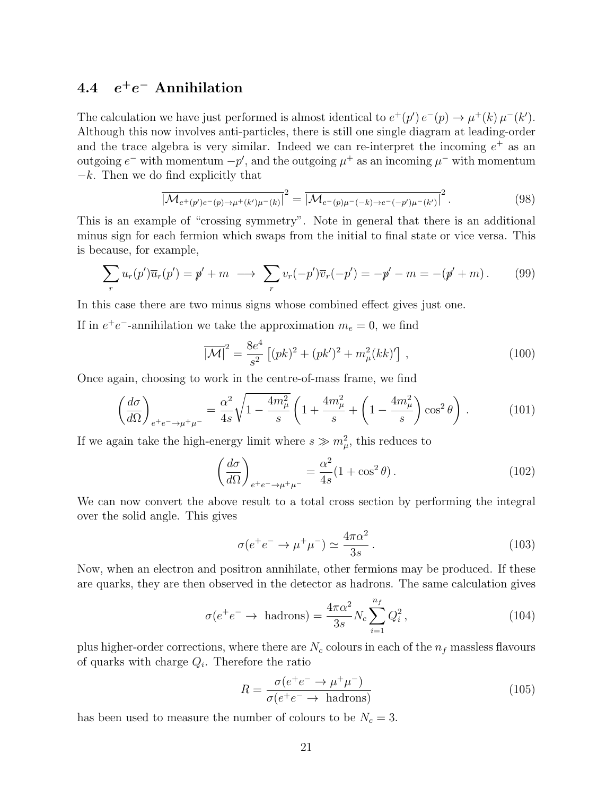#### $4.4$  $^+e^-$  Annihilation

The calculation we have just performed is almost identical to  $e^+(p')e^-(p) \to \mu^+(k)\mu^-(k')$ . Although this now involves anti-particles, there is still one single diagram at leading-order and the trace algebra is very similar. Indeed we can re-interpret the incoming  $e^+$  as an outgoing  $e^-$  with momentum  $-p'$ , and the outgoing  $\mu^+$  as an incoming  $\mu^-$  with momentum  $-k$ . Then we do find explicitly that

$$
\overline{|\mathcal{M}_{e^+(p')e^-(p)\to\mu^+(k')\mu^-(k)}|^2} = \overline{|\mathcal{M}_{e^-(p)\mu^-(k)\to e^-(-p')\mu^-(k')}|^2}.
$$
\n(98)

This is an example of "crossing symmetry". Note in general that there is an additional minus sign for each fermion which swaps from the initial to final state or vice versa. This is because, for example,

$$
\sum_{r} u_r(p') \overline{u}_r(p') = p' + m \longrightarrow \sum_{r} v_r(-p') \overline{v}_r(-p') = -p' - m = -(p' + m). \tag{99}
$$

In this case there are two minus signs whose combined effect gives just one.

If in  $e^+e^-$ -annihilation we take the approximation  $m_e = 0$ , we find

$$
\overline{|\mathcal{M}|}^2 = \frac{8e^4}{s^2} \left[ (pk)^2 + (pk')^2 + m_\mu^2 (kk)'\right],\tag{100}
$$

Once again, choosing to work in the centre-of-mass frame, we find

$$
\left(\frac{d\sigma}{d\Omega}\right)_{e^+e^- \to \mu^+\mu^-} = \frac{\alpha^2}{4s} \sqrt{1 - \frac{4m_\mu^2}{s}} \left(1 + \frac{4m_\mu^2}{s} + \left(1 - \frac{4m_\mu^2}{s}\right) \cos^2\theta\right) \,. \tag{101}
$$

If we again take the high-energy limit where  $s \gg m_{\mu}^2$ , this reduces to

$$
\left(\frac{d\sigma}{d\Omega}\right)_{e^+e^- \to \mu^+\mu^-} = \frac{\alpha^2}{4s}(1+\cos^2\theta). \tag{102}
$$

We can now convert the above result to a total cross section by performing the integral over the solid angle. This gives

$$
\sigma(e^+e^- \to \mu^+\mu^-) \simeq \frac{4\pi\alpha^2}{3s} \,. \tag{103}
$$

Now, when an electron and positron annihilate, other fermions may be produced. If these are quarks, they are then observed in the detector as hadrons. The same calculation gives

$$
\sigma(e^+e^- \to \text{hadrons}) = \frac{4\pi\alpha^2}{3s} N_c \sum_{i=1}^{n_f} Q_i^2, \qquad (104)
$$

plus higher-order corrections, where there are  $N_c$  colours in each of the  $n_f$  massless flavours of quarks with charge  $Q_i$ . Therefore the ratio

$$
R = \frac{\sigma(e^+e^- \to \mu^+\mu^-)}{\sigma(e^+e^- \to \text{hadrons})}
$$
(105)

has been used to measure the number of colours to be  $N_c = 3$ .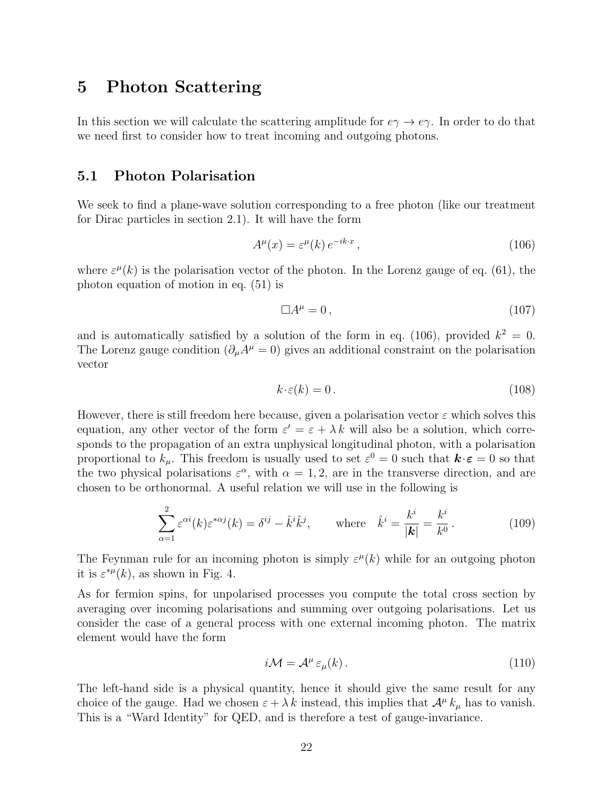### 5 Photon Scattering

In this section we will calculate the scattering amplitude for  $e\gamma \to e\gamma$ . In order to do that we need first to consider how to treat incoming and outgoing photons.

#### 5.1 Photon Polarisation

We seek to find a plane-wave solution corresponding to a free photon (like our treatment for Dirac particles in section 2.1). It will have the form

$$
A^{\mu}(x) = \varepsilon^{\mu}(k) e^{-ik \cdot x}, \qquad (106)
$$

where  $\varepsilon^{\mu}(k)$  is the polarisation vector of the photon. In the Lorenz gauge of eq. (61), the photon equation of motion in eq. (51) is

$$
\Box A^{\mu} = 0, \tag{107}
$$

and is automatically satisfied by a solution of the form in eq. (106), provided  $k^2 = 0$ . The Lorenz gauge condition  $(\partial_{\mu}A^{\mu}=0)$  gives an additional constraint on the polarisation vector

$$
k \cdot \varepsilon(k) = 0. \tag{108}
$$

However, there is still freedom here because, given a polarisation vector  $\varepsilon$  which solves this equation, any other vector of the form  $\varepsilon' = \varepsilon + \lambda k$  will also be a solution, which corresponds to the propagation of an extra unphysical longitudinal photon, with a polarisation proportional to  $k_{\mu}$ . This freedom is usually used to set  $\varepsilon^{0} = 0$  such that  $\mathbf{k} \cdot \mathbf{\varepsilon} = 0$  so that the two physical polarisations  $\varepsilon^{\alpha}$ , with  $\alpha = 1, 2$ , are in the transverse direction, and are chosen to be orthonormal. A useful relation we will use in the following is

$$
\sum_{\alpha=1}^{2} \varepsilon^{\alpha i}(k) \varepsilon^{*\alpha j}(k) = \delta^{ij} - \hat{k}^{i} \hat{k}^{j}, \qquad \text{where} \quad \hat{k}^{i} = \frac{k^{i}}{|\mathbf{k}|} = \frac{k^{i}}{k^{0}}.
$$
 (109)

The Feynman rule for an incoming photon is simply  $\varepsilon^{\mu}(k)$  while for an outgoing photon it is  $\varepsilon^{*\mu}(k)$ , as shown in Fig. 4.

As for fermion spins, for unpolarised processes you compute the total cross section by averaging over incoming polarisations and summing over outgoing polarisations. Let us consider the case of a general process with one external incoming photon. The matrix element would have the form

$$
i\mathcal{M} = \mathcal{A}^{\mu} \,\varepsilon_{\mu}(k) \,. \tag{110}
$$

The left-hand side is a physical quantity, hence it should give the same result for any choice of the gauge. Had we chosen  $\varepsilon + \lambda k$  instead, this implies that  $\mathcal{A}^{\mu} k_{\mu}$  has to vanish. This is a "Ward Identity" for QED, and is therefore a test of gauge-invariance.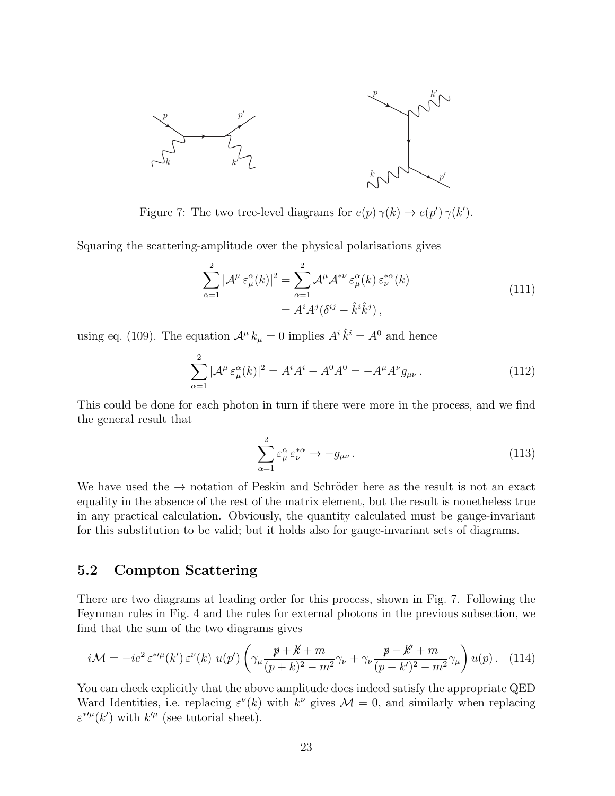

Figure 7: The two tree-level diagrams for  $e(p) \gamma(k) \to e(p') \gamma(k')$ .

Squaring the scattering-amplitude over the physical polarisations gives

$$
\sum_{\alpha=1}^{2} |\mathcal{A}^{\mu} \varepsilon_{\mu}^{\alpha}(k)|^{2} = \sum_{\alpha=1}^{2} \mathcal{A}^{\mu} \mathcal{A}^{*\nu} \varepsilon_{\mu}^{\alpha}(k) \varepsilon_{\nu}^{*\alpha}(k)
$$
  
=  $A^{i} A^{j} (\delta^{ij} - \hat{k}^{i} \hat{k}^{j}),$  (111)

using eq. (109). The equation  $\mathcal{A}^{\mu} k_{\mu} = 0$  implies  $A^{i} \hat{k}^{i} = A^{0}$  and hence

$$
\sum_{\alpha=1}^{2} |\mathcal{A}^{\mu} \varepsilon_{\mu}^{\alpha}(k)|^{2} = A^{i} A^{i} - A^{0} A^{0} = -A^{\mu} A^{\nu} g_{\mu\nu}.
$$
 (112)

This could be done for each photon in turn if there were more in the process, and we find the general result that

$$
\sum_{\alpha=1}^{2} \varepsilon_{\mu}^{\alpha} \varepsilon_{\nu}^{*\alpha} \to -g_{\mu\nu} \,. \tag{113}
$$

We have used the  $\rightarrow$  notation of Peskin and Schröder here as the result is not an exact equality in the absence of the rest of the matrix element, but the result is nonetheless true in any practical calculation. Obviously, the quantity calculated must be gauge-invariant for this substitution to be valid; but it holds also for gauge-invariant sets of diagrams.

#### 5.2 Compton Scattering

There are two diagrams at leading order for this process, shown in Fig. 7. Following the Feynman rules in Fig. 4 and the rules for external photons in the previous subsection, we find that the sum of the two diagrams gives

$$
i\mathcal{M} = -ie^2 \,\varepsilon^{*\prime\mu}(k')\,\varepsilon^{\nu}(k)\,\,\overline{u}(p')\left(\gamma_{\mu}\frac{p+k+m}{(p+k)^2-m^2}\gamma_{\nu} + \gamma_{\nu}\frac{p-k'+m}{(p-k')^2-m^2}\gamma_{\mu}\right)u(p). \tag{114}
$$

You can check explicitly that the above amplitude does indeed satisfy the appropriate QED Ward Identities, i.e. replacing  $\varepsilon^{\nu}(k)$  with  $k^{\nu}$  gives  $\mathcal{M}=0$ , and similarly when replacing  $\varepsilon^{*\prime\mu}(k')$  with  $k'^\mu$  (see tutorial sheet).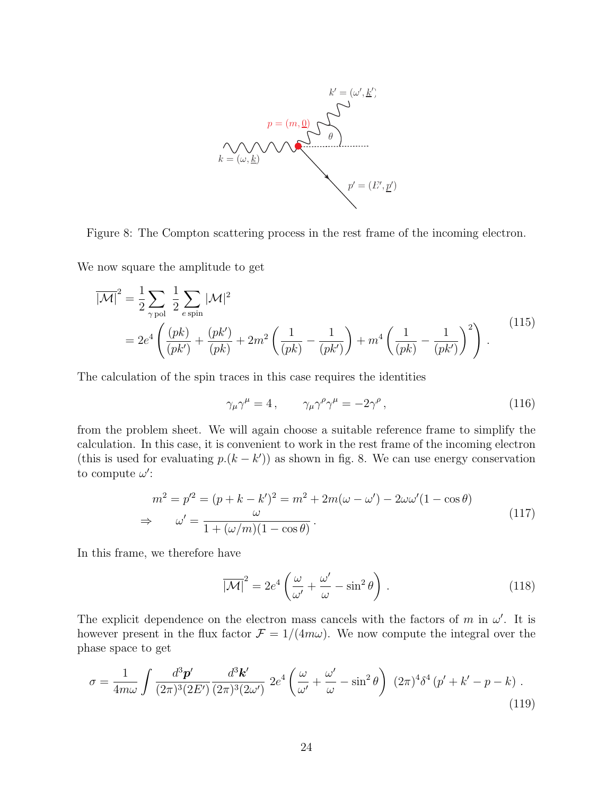

Figure 8: The Compton scattering process in the rest frame of the incoming electron.

We now square the amplitude to get

$$
\overline{|\mathcal{M}|}^2 = \frac{1}{2} \sum_{\gamma \text{pol}} \frac{1}{2} \sum_{e \text{ spin}} |\mathcal{M}|^2
$$
  
=  $2e^4 \left( \frac{(pk)}{(pk')} + \frac{(pk')}{(pk)} + 2m^2 \left( \frac{1}{(pk)} - \frac{1}{(pk')} \right) + m^4 \left( \frac{1}{(pk)} - \frac{1}{(pk')} \right)^2 \right).$  (115)

The calculation of the spin traces in this case requires the identities

$$
\gamma_{\mu}\gamma^{\mu} = 4 \,, \qquad \gamma_{\mu}\gamma^{\rho}\gamma^{\mu} = -2\gamma^{\rho} \,, \tag{116}
$$

from the problem sheet. We will again choose a suitable reference frame to simplify the calculation. In this case, it is convenient to work in the rest frame of the incoming electron (this is used for evaluating  $p.(k - k')$ ) as shown in fig. 8. We can use energy conservation to compute  $\omega'$ :

$$
m^{2} = p'^{2} = (p + k - k')^{2} = m^{2} + 2m(\omega - \omega') - 2\omega\omega'(1 - \cos\theta)
$$
  
\n
$$
\Rightarrow \omega' = \frac{\omega}{1 + (\omega/m)(1 - \cos\theta)}.
$$
\n(117)

In this frame, we therefore have

$$
\overline{|\mathcal{M}|}^2 = 2e^4 \left( \frac{\omega}{\omega'} + \frac{\omega'}{\omega} - \sin^2 \theta \right) . \tag{118}
$$

The explicit dependence on the electron mass cancels with the factors of m in  $\omega'$ . It is however present in the flux factor  $\mathcal{F} = 1/(4m\omega)$ . We now compute the integral over the phase space to get

$$
\sigma = \frac{1}{4m\omega} \int \frac{d^3 \mathbf{p}'}{(2\pi)^3 (2E')} \frac{d^3 \mathbf{k}'}{(2\pi)^3 (2\omega')} 2e^4 \left(\frac{\omega}{\omega'} + \frac{\omega'}{\omega} - \sin^2 \theta\right) (2\pi)^4 \delta^4 (p' + k' - p - k) .
$$
\n(119)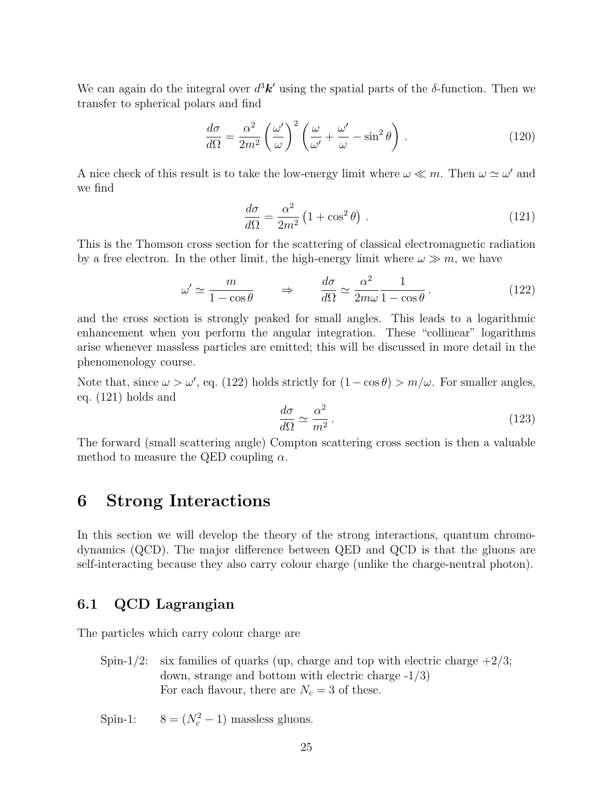We can again do the integral over  $d^3\mathbf{k}'$  using the spatial parts of the  $\delta$ -function. Then we transfer to spherical polars and find

$$
\frac{d\sigma}{d\Omega} = \frac{\alpha^2}{2m^2} \left(\frac{\omega'}{\omega}\right)^2 \left(\frac{\omega}{\omega'} + \frac{\omega'}{\omega} - \sin^2\theta\right). \tag{120}
$$

A nice check of this result is to take the low-energy limit where  $\omega \ll m$ . Then  $\omega \simeq \omega'$  and we find

$$
\frac{d\sigma}{d\Omega} = \frac{\alpha^2}{2m^2} \left( 1 + \cos^2 \theta \right) \,. \tag{121}
$$

This is the Thomson cross section for the scattering of classical electromagnetic radiation by a free electron. In the other limit, the high-energy limit where  $\omega \gg m$ , we have

$$
\omega' \simeq \frac{m}{1 - \cos \theta} \qquad \Rightarrow \qquad \frac{d\sigma}{d\Omega} \simeq \frac{\alpha^2}{2m\omega} \frac{1}{1 - \cos \theta} \,. \tag{122}
$$

and the cross section is strongly peaked for small angles. This leads to a logarithmic enhancement when you perform the angular integration. These "collinear" logarithms arise whenever massless particles are emitted; this will be discussed in more detail in the phenomenology course.

Note that, since  $\omega > \omega'$ , eq. (122) holds strictly for  $(1 - \cos \theta) > m/\omega$ . For smaller angles, eq. (121) holds and

$$
\frac{d\sigma}{d\Omega} \simeq \frac{\alpha^2}{m^2} \,. \tag{123}
$$

The forward (small scattering angle) Compton scattering cross section is then a valuable method to measure the QED coupling  $\alpha$ .

### 6 Strong Interactions

In this section we will develop the theory of the strong interactions, quantum chromodynamics (QCD). The major difference between QED and QCD is that the gluons are self-interacting because they also carry colour charge (unlike the charge-neutral photon).

### 6.1 QCD Lagrangian

The particles which carry colour charge are

Spin-1/2: six families of quarks (up, charge and top with electric charge  $+2/3$ ; down, strange and bottom with electric charge -1/3) For each flavour, there are  $N_c = 3$  of these.

Spin-1:  $8 = (N_c^2 - 1)$  massless gluons.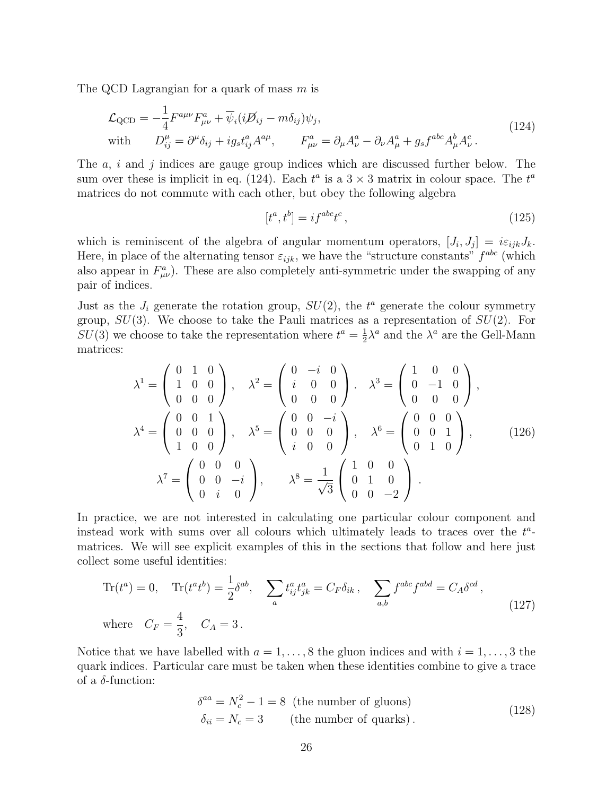The QCD Lagrangian for a quark of mass m is

$$
\mathcal{L}_{\text{QCD}} = -\frac{1}{4} F^{a\mu\nu} F^a_{\mu\nu} + \overline{\psi}_i (i\cancel{B}_{ij} - m\delta_{ij}) \psi_j,
$$
  
with 
$$
D^{\mu}_{ij} = \partial^{\mu} \delta_{ij} + ig_s t^a_{ij} A^{a\mu}, \qquad F^a_{\mu\nu} = \partial_{\mu} A^a_{\nu} - \partial_{\nu} A^a_{\mu} + g_s f^{abc} A^b_{\mu} A^c_{\nu}.
$$
\n(124)

The  $a, i$  and j indices are gauge group indices which are discussed further below. The sum over these is implicit in eq. (124). Each  $t^a$  is a  $3 \times 3$  matrix in colour space. The  $t^a$ matrices do not commute with each other, but obey the following algebra

$$
[t^a, t^b] = i f^{abc} t^c \,,\tag{125}
$$

which is reminiscent of the algebra of angular momentum operators,  $[J_i, J_j] = i\varepsilon_{ijk}J_k$ . Here, in place of the alternating tensor  $\varepsilon_{ijk}$ , we have the "structure constants"  $f^{abc}$  (which also appear in  $F^a_{\mu\nu}$ ). These are also completely anti-symmetric under the swapping of any pair of indices.

Just as the  $J_i$  generate the rotation group,  $SU(2)$ , the  $t^a$  generate the colour symmetry group,  $SU(3)$ . We choose to take the Pauli matrices as a representation of  $SU(2)$ . For  $SU(3)$  we choose to take the representation where  $t^a = \frac{1}{2}$  $\frac{1}{2}\lambda^a$  and the  $\lambda^a$  are the Gell-Mann matrices:

$$
\lambda^{1} = \begin{pmatrix} 0 & 1 & 0 \\ 1 & 0 & 0 \\ 0 & 0 & 0 \end{pmatrix}, \quad \lambda^{2} = \begin{pmatrix} 0 & -i & 0 \\ i & 0 & 0 \\ 0 & 0 & 0 \end{pmatrix}. \quad \lambda^{3} = \begin{pmatrix} 1 & 0 & 0 \\ 0 & -1 & 0 \\ 0 & 0 & 0 \end{pmatrix},
$$

$$
\lambda^{4} = \begin{pmatrix} 0 & 0 & 1 \\ 0 & 0 & 0 \\ 1 & 0 & 0 \end{pmatrix}, \quad \lambda^{5} = \begin{pmatrix} 0 & 0 & -i \\ 0 & 0 & 0 \\ i & 0 & 0 \end{pmatrix}, \quad \lambda^{6} = \begin{pmatrix} 0 & 0 & 0 \\ 0 & 0 & 1 \\ 0 & 1 & 0 \end{pmatrix}, \quad (126)
$$

$$
\lambda^{7} = \begin{pmatrix} 0 & 0 & 0 \\ 0 & 0 & -i \\ 0 & i & 0 \end{pmatrix}, \quad \lambda^{8} = \frac{1}{\sqrt{3}} \begin{pmatrix} 1 & 0 & 0 \\ 0 & 1 & 0 \\ 0 & 0 & -2 \end{pmatrix}.
$$

In practice, we are not interested in calculating one particular colour component and instead work with sums over all colours which ultimately leads to traces over the  $t^a$ matrices. We will see explicit examples of this in the sections that follow and here just collect some useful identities:

$$
\text{Tr}(t^a) = 0, \quad \text{Tr}(t^a t^b) = \frac{1}{2} \delta^{ab}, \quad \sum_a t^a_{ij} t^a_{jk} = C_F \delta_{ik}, \quad \sum_{a,b} f^{abc} f^{abd} = C_A \delta^{cd},
$$
\n
$$
\text{where} \quad C_F = \frac{4}{3}, \quad C_A = 3 \,.
$$
\n
$$
(127)
$$

Notice that we have labelled with  $a = 1, \ldots, 8$  the gluon indices and with  $i = 1, \ldots, 3$  the quark indices. Particular care must be taken when these identities combine to give a trace of a  $\delta$ -function:

$$
\delta^{aa} = N_c^2 - 1 = 8 \text{ (the number of gluons)}
$$
  
\n
$$
\delta_{ii} = N_c = 3 \text{ (the number of quarks)}.
$$
\n(128)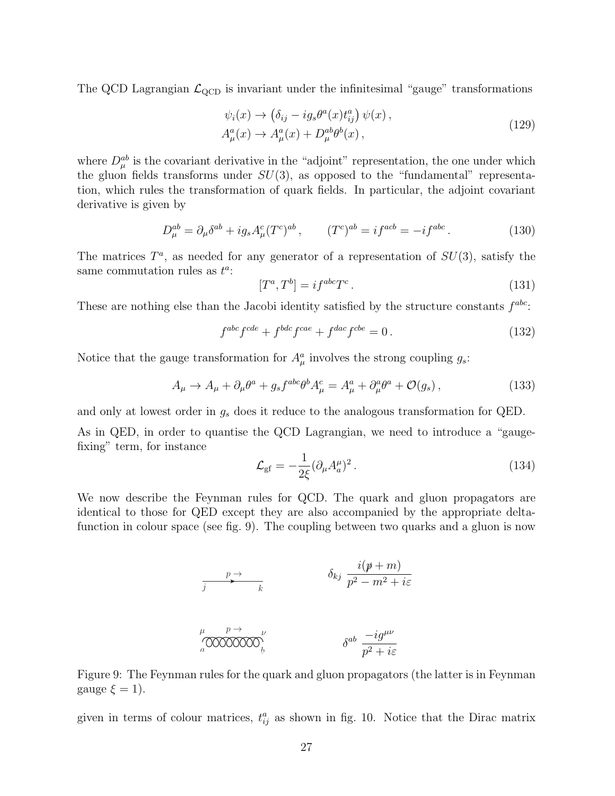The QCD Lagrangian  $\mathcal{L}_{\text{QCD}}$  is invariant under the infinitesimal "gauge" transformations

$$
\psi_i(x) \to \left(\delta_{ij} - ig_s \theta^a(x) t_{ij}^a\right) \psi(x),
$$
  
\n
$$
A^a_\mu(x) \to A^a_\mu(x) + D^{ab}_\mu \theta^b(x),
$$
\n(129)

where  $D_{\mu}^{ab}$  is the covariant derivative in the "adjoint" representation, the one under which the gluon fields transforms under  $SU(3)$ , as opposed to the "fundamental" representation, which rules the transformation of quark fields. In particular, the adjoint covariant derivative is given by

$$
D_{\mu}^{ab} = \partial_{\mu}\delta^{ab} + ig_s A_{\mu}^c (T^c)^{ab} , \qquad (T^c)^{ab} = if^{acb} = -if^{abc} . \tag{130}
$$

The matrices  $T^a$ , as needed for any generator of a representation of  $SU(3)$ , satisfy the same commutation rules as  $t^a$ :

$$
[T^a, T^b] = i f^{abc} T^c. \tag{131}
$$

These are nothing else than the Jacobi identity satisfied by the structure constants  $f^{abc}$ :

$$
f^{abc}f^{cde} + f^{bdc}f^{cae} + f^{dac}f^{cbe} = 0.
$$
 (132)

Notice that the gauge transformation for  $A^a_\mu$  involves the strong coupling  $g_s$ :

$$
A_{\mu} \to A_{\mu} + \partial_{\mu}\theta^{a} + g_{s}f^{abc}\theta^{b}A_{\mu}^{c} = A_{\mu}^{a} + \partial_{\mu}^{a}\theta^{a} + \mathcal{O}(g_{s})\,,\tag{133}
$$

and only at lowest order in  $g_s$  does it reduce to the analogous transformation for QED.

As in QED, in order to quantise the QCD Lagrangian, we need to introduce a "gaugefixing" term, for instance

$$
\mathcal{L}_{\rm gf} = -\frac{1}{2\xi} (\partial_\mu A_a^\mu)^2 \,. \tag{134}
$$

We now describe the Feynman rules for QCD. The quark and gluon propagators are identical to those for QED except they are also accompanied by the appropriate deltafunction in colour space (see fig. 9). The coupling between two quarks and a gluon is now

$$
\begin{array}{ccc}\n & & p \rightarrow & & \delta_{kj} & \frac{i(p+m)}{p^2 - m^2 + i\varepsilon} \\
\downarrow & & & \mu & \delta_{kj} & \frac{i(p+m)}{p^2 - m^2 + i\varepsilon} \\
\hline\n\frac{\mu}{a} & \text{00000000} & & & \delta^{ab} & \frac{-ig^{\mu\nu}}{p^2 + i\varepsilon}\n\end{array}
$$

Figure 9: The Feynman rules for the quark and gluon propagators (the latter is in Feynman gauge  $\xi = 1$ ).

given in terms of colour matrices,  $t_{ij}^a$  as shown in fig. 10. Notice that the Dirac matrix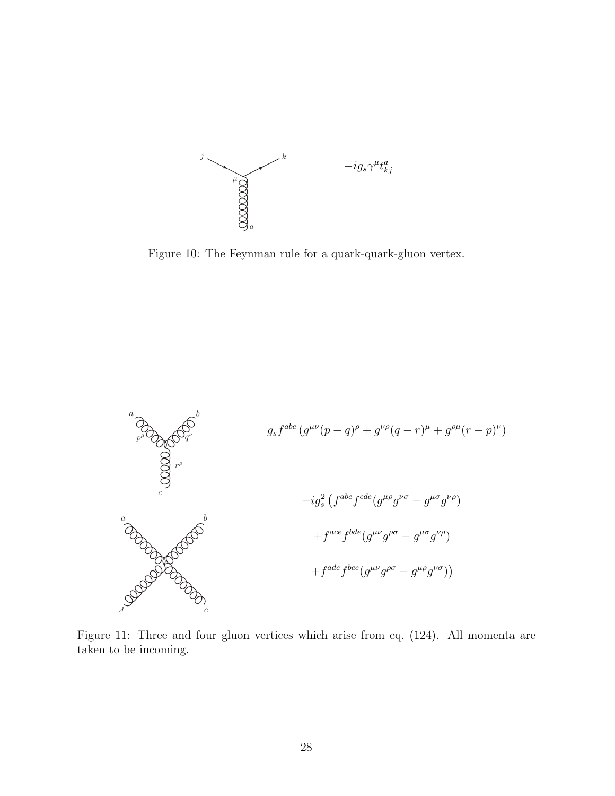

Figure 10: The Feynman rule for a quark-quark-gluon vertex.



Figure 11: Three and four gluon vertices which arise from eq. (124). All momenta are taken to be incoming.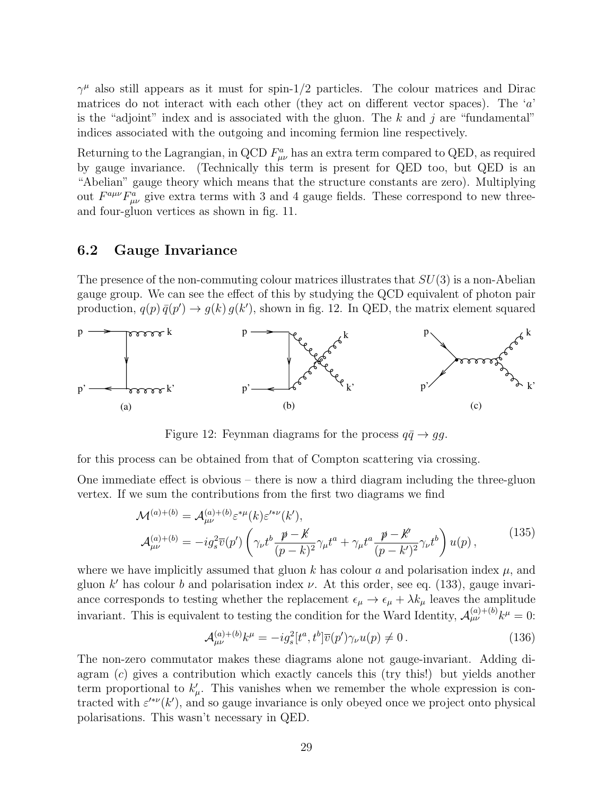$\gamma^{\mu}$  also still appears as it must for spin-1/2 particles. The colour matrices and Dirac matrices do not interact with each other (they act on different vector spaces). The  $a$ is the "adjoint" index and is associated with the gluon. The k and j are "fundamental" indices associated with the outgoing and incoming fermion line respectively.

Returning to the Lagrangian, in QCD  $F^a_{\mu\nu}$  has an extra term compared to QED, as required by gauge invariance. (Technically this term is present for QED too, but QED is an "Abelian" gauge theory which means that the structure constants are zero). Multiplying out  $F^{a\mu\nu}F^a_{\mu\nu}$  give extra terms with 3 and 4 gauge fields. These correspond to new threeand four-gluon vertices as shown in fig. 11.

#### 6.2 Gauge Invariance

The presence of the non-commuting colour matrices illustrates that  $SU(3)$  is a non-Abelian gauge group. We can see the effect of this by studying the QCD equivalent of photon pair production,  $q(p) \bar{q}(p') \rightarrow g(k) g(k')$ , shown in fig. 12. In QED, the matrix element squared



Figure 12: Feynman diagrams for the process  $q\bar{q} \rightarrow gg$ .

for this process can be obtained from that of Compton scattering via crossing.

One immediate effect is obvious – there is now a third diagram including the three-gluon vertex. If we sum the contributions from the first two diagrams we find

$$
\mathcal{M}^{(a)+(b)} = \mathcal{A}^{(a)+(b)}_{\mu\nu} \varepsilon^{*\mu}(k) \varepsilon'^{* \nu}(k'),
$$
\n
$$
\mathcal{A}^{(a)+(b)}_{\mu\nu} = -ig_s^2 \overline{v}(p') \left( \gamma_\nu t^b \frac{p-k'}{(p-k)^2} \gamma_\mu t^a + \gamma_\mu t^a \frac{p-k'}{(p-k')^2} \gamma_\nu t^b \right) u(p),
$$
\n(135)

where we have implicitly assumed that gluon k has colour a and polarisation index  $\mu$ , and gluon k' has colour b and polarisation index  $\nu$ . At this order, see eq. (133), gauge invariance corresponds to testing whether the replacement  $\epsilon_{\mu} \to \epsilon_{\mu} + \lambda k_{\mu}$  leaves the amplitude invariant. This is equivalent to testing the condition for the Ward Identity,  $\mathcal{A}_{\mu\nu}^{(a)+(b)}k^{\mu} = 0$ :

$$
\mathcal{A}^{(a)+(b)}_{\mu\nu}k^{\mu} = -ig_s^2[t^a, t^b]\overline{v}(p')\gamma_{\nu}u(p) \neq 0. \qquad (136)
$$

The non-zero commutator makes these diagrams alone not gauge-invariant. Adding diagram (c) gives a contribution which exactly cancels this (try this!) but yields another term proportional to  $k'_{\mu}$ . This vanishes when we remember the whole expression is contracted with  $\varepsilon'^{\ast \nu}(k')$ , and so gauge invariance is only obeyed once we project onto physical polarisations. This wasn't necessary in QED.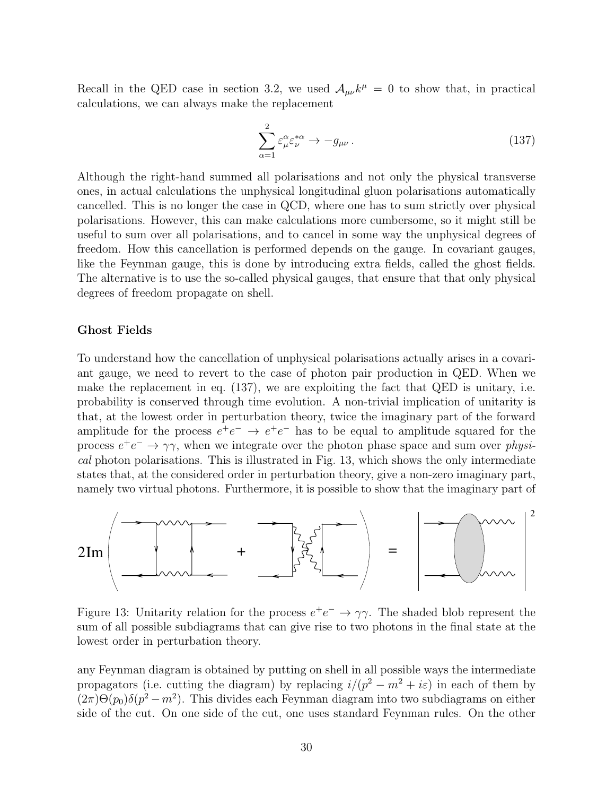Recall in the QED case in section 3.2, we used  $A_{\mu\nu}k^{\mu} = 0$  to show that, in practical calculations, we can always make the replacement

$$
\sum_{\alpha=1}^{2} \varepsilon_{\mu}^{\alpha} \varepsilon_{\nu}^{*\alpha} \to -g_{\mu\nu} \,. \tag{137}
$$

Although the right-hand summed all polarisations and not only the physical transverse ones, in actual calculations the unphysical longitudinal gluon polarisations automatically cancelled. This is no longer the case in QCD, where one has to sum strictly over physical polarisations. However, this can make calculations more cumbersome, so it might still be useful to sum over all polarisations, and to cancel in some way the unphysical degrees of freedom. How this cancellation is performed depends on the gauge. In covariant gauges, like the Feynman gauge, this is done by introducing extra fields, called the ghost fields. The alternative is to use the so-called physical gauges, that ensure that that only physical degrees of freedom propagate on shell.

#### Ghost Fields

To understand how the cancellation of unphysical polarisations actually arises in a covariant gauge, we need to revert to the case of photon pair production in QED. When we make the replacement in eq. (137), we are exploiting the fact that QED is unitary, i.e. probability is conserved through time evolution. A non-trivial implication of unitarity is that, at the lowest order in perturbation theory, twice the imaginary part of the forward amplitude for the process  $e^+e^- \rightarrow e^+e^-$  has to be equal to amplitude squared for the process  $e^+e^- \rightarrow \gamma \gamma$ , when we integrate over the photon phase space and sum over physical photon polarisations. This is illustrated in Fig. 13, which shows the only intermediate states that, at the considered order in perturbation theory, give a non-zero imaginary part, namely two virtual photons. Furthermore, it is possible to show that the imaginary part of



Figure 13: Unitarity relation for the process  $e^+e^- \rightarrow \gamma\gamma$ . The shaded blob represent the sum of all possible subdiagrams that can give rise to two photons in the final state at the lowest order in perturbation theory.

any Feynman diagram is obtained by putting on shell in all possible ways the intermediate propagators (i.e. cutting the diagram) by replacing  $i/(p^2 - m^2 + i\varepsilon)$  in each of them by  $(2\pi)\Theta(p_0)\delta(p^2 - m^2)$ . This divides each Feynman diagram into two subdiagrams on either side of the cut. On one side of the cut, one uses standard Feynman rules. On the other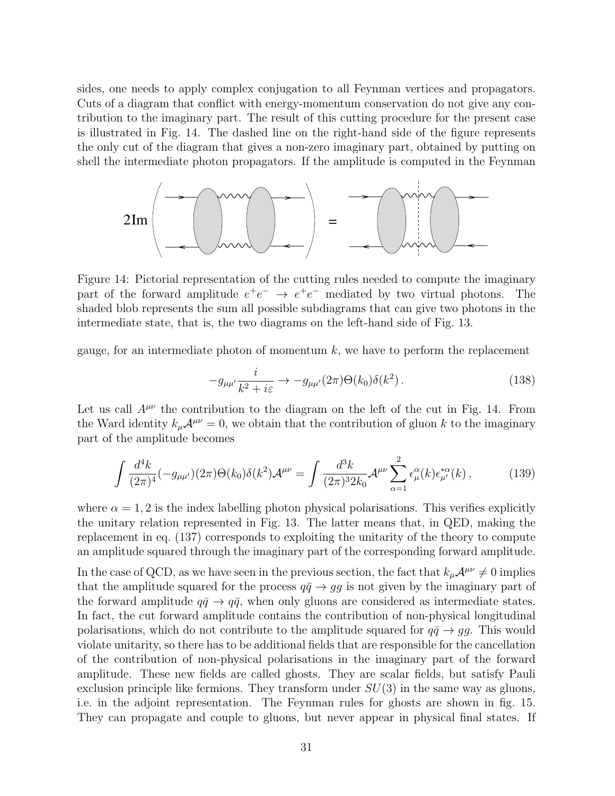sides, one needs to apply complex conjugation to all Feynman vertices and propagators. Cuts of a diagram that conflict with energy-momentum conservation do not give any contribution to the imaginary part. The result of this cutting procedure for the present case is illustrated in Fig. 14. The dashed line on the right-hand side of the figure represents the only cut of the diagram that gives a non-zero imaginary part, obtained by putting on shell the intermediate photon propagators. If the amplitude is computed in the Feynman



Figure 14: Pictorial representation of the cutting rules needed to compute the imaginary part of the forward amplitude  $e^+e^- \rightarrow e^+e^-$  mediated by two virtual photons. The shaded blob represents the sum all possible subdiagrams that can give two photons in the intermediate state, that is, the two diagrams on the left-hand side of Fig. 13.

gauge, for an intermediate photon of momentum  $k$ , we have to perform the replacement

$$
-g_{\mu\mu'}\frac{i}{k^2+i\varepsilon} \to -g_{\mu\mu'}(2\pi)\Theta(k_0)\delta(k^2) \,. \tag{138}
$$

Let us call  $A^{\mu\nu}$  the contribution to the diagram on the left of the cut in Fig. 14. From the Ward identity  $k_{\mu}\mathcal{A}^{\mu\nu}=0$ , we obtain that the contribution of gluon k to the imaginary part of the amplitude becomes

$$
\int \frac{d^4k}{(2\pi)^4} (-g_{\mu\mu'}) (2\pi) \Theta(k_0) \delta(k^2) \mathcal{A}^{\mu\nu} = \int \frac{d^3k}{(2\pi)^3 2k_0} \mathcal{A}^{\mu\nu} \sum_{\alpha=1}^2 \epsilon_\mu^\alpha(k) \epsilon_{\mu'}^{*\alpha}(k) , \qquad (139)
$$

where  $\alpha = 1, 2$  is the index labelling photon physical polarisations. This verifies explicitly the unitary relation represented in Fig. 13. The latter means that, in QED, making the replacement in eq. (137) corresponds to exploiting the unitarity of the theory to compute an amplitude squared through the imaginary part of the corresponding forward amplitude.

In the case of QCD, as we have seen in the previous section, the fact that  $k_{\mu}A^{\mu\nu} \neq 0$  implies that the amplitude squared for the process  $q\bar{q} \rightarrow gg$  is not given by the imaginary part of the forward amplitude  $q\bar{q} \rightarrow q\bar{q}$ , when only gluons are considered as intermediate states. In fact, the cut forward amplitude contains the contribution of non-physical longitudinal polarisations, which do not contribute to the amplitude squared for  $q\bar{q} \rightarrow gg$ . This would violate unitarity, so there has to be additional fields that are responsible for the cancellation of the contribution of non-physical polarisations in the imaginary part of the forward amplitude. These new fields are called ghosts. They are scalar fields, but satisfy Pauli exclusion principle like fermions. They transform under  $SU(3)$  in the same way as gluons, i.e. in the adjoint representation. The Feynman rules for ghosts are shown in fig. 15. They can propagate and couple to gluons, but never appear in physical final states. If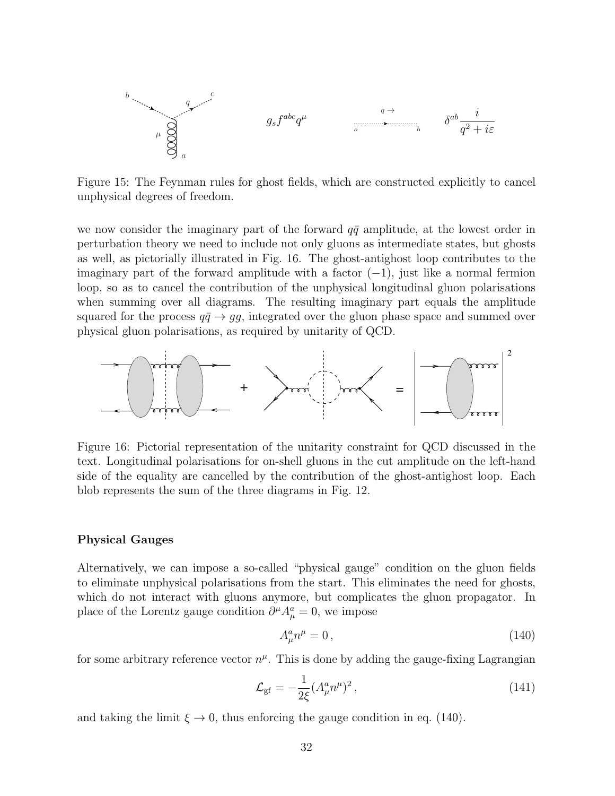b c a µ q gsf abcq µ a b q → δ ab i q <sup>2</sup> + iε

Figure 15: The Feynman rules for ghost fields, which are constructed explicitly to cancel unphysical degrees of freedom.

we now consider the imaginary part of the forward  $q\bar{q}$  amplitude, at the lowest order in perturbation theory we need to include not only gluons as intermediate states, but ghosts as well, as pictorially illustrated in Fig. 16. The ghost-antighost loop contributes to the imaginary part of the forward amplitude with a factor  $(-1)$ , just like a normal fermion loop, so as to cancel the contribution of the unphysical longitudinal gluon polarisations when summing over all diagrams. The resulting imaginary part equals the amplitude squared for the process  $q\bar{q} \rightarrow gg$ , integrated over the gluon phase space and summed over physical gluon polarisations, as required by unitarity of QCD.



Figure 16: Pictorial representation of the unitarity constraint for QCD discussed in the text. Longitudinal polarisations for on-shell gluons in the cut amplitude on the left-hand side of the equality are cancelled by the contribution of the ghost-antighost loop. Each blob represents the sum of the three diagrams in Fig. 12.

#### Physical Gauges

Alternatively, we can impose a so-called "physical gauge" condition on the gluon fields to eliminate unphysical polarisations from the start. This eliminates the need for ghosts, which do not interact with gluons anymore, but complicates the gluon propagator. In place of the Lorentz gauge condition  $\partial^{\mu} A_{\mu}^{a} = 0$ , we impose

$$
A^a_\mu n^\mu = 0\,,\tag{140}
$$

for some arbitrary reference vector  $n^{\mu}$ . This is done by adding the gauge-fixing Lagrangian

$$
\mathcal{L}_{\rm gf} = -\frac{1}{2\xi} (A^a_\mu n^\mu)^2 \,, \tag{141}
$$

and taking the limit  $\xi \to 0$ , thus enforcing the gauge condition in eq. (140).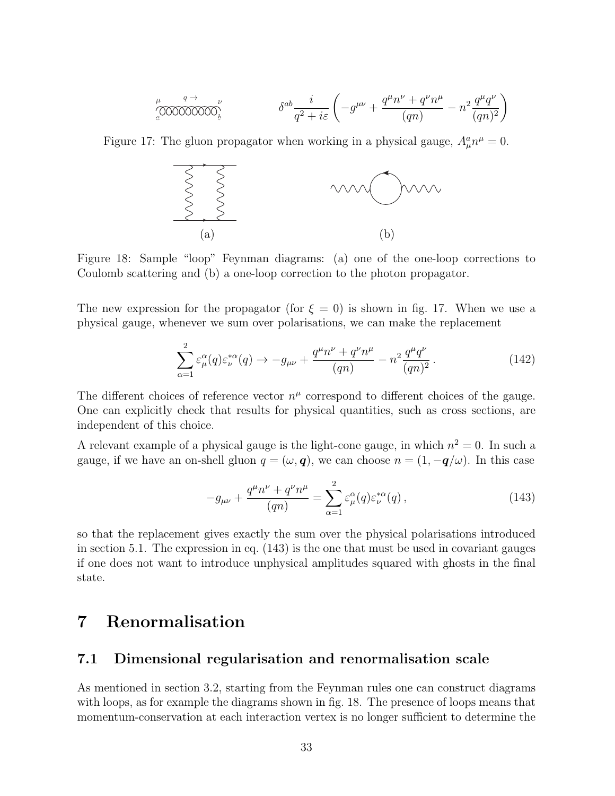$$
\int_{a}^{\mu} \frac{q \to}{\sqrt{0000000000}} \nu \qquad \qquad \delta^{ab} \frac{i}{q^2 + i \varepsilon} \left( -g^{\mu\nu} + \frac{q^{\mu} n^{\nu} + q^{\nu} n^{\mu}}{(qn)} - n^2 \frac{q^{\mu} q^{\nu}}{(qn)^2} \right)
$$

Figure 17: The gluon propagator when working in a physical gauge,  $A^a_\mu n^\mu = 0$ .



Figure 18: Sample "loop" Feynman diagrams: (a) one of the one-loop corrections to Coulomb scattering and (b) a one-loop correction to the photon propagator.

The new expression for the propagator (for  $\xi = 0$ ) is shown in fig. 17. When we use a physical gauge, whenever we sum over polarisations, we can make the replacement

$$
\sum_{\alpha=1}^{2} \varepsilon_{\mu}^{\alpha}(q) \varepsilon_{\nu}^{*\alpha}(q) \to -g_{\mu\nu} + \frac{q^{\mu}n^{\nu} + q^{\nu}n^{\mu}}{(qn)} - n^{2} \frac{q^{\mu}q^{\nu}}{(qn)^{2}}.
$$
 (142)

The different choices of reference vector  $n^{\mu}$  correspond to different choices of the gauge. One can explicitly check that results for physical quantities, such as cross sections, are independent of this choice.

A relevant example of a physical gauge is the light-cone gauge, in which  $n^2 = 0$ . In such a gauge, if we have an on-shell gluon  $q = (\omega, \mathbf{q})$ , we can choose  $n = (1, -\mathbf{q}/\omega)$ . In this case

$$
-g_{\mu\nu} + \frac{q^{\mu}n^{\nu} + q^{\nu}n^{\mu}}{(qn)} = \sum_{\alpha=1}^{2} \varepsilon_{\mu}^{\alpha}(q)\varepsilon_{\nu}^{*\alpha}(q) , \qquad (143)
$$

so that the replacement gives exactly the sum over the physical polarisations introduced in section 5.1. The expression in eq. (143) is the one that must be used in covariant gauges if one does not want to introduce unphysical amplitudes squared with ghosts in the final state.

## 7 Renormalisation

### 7.1 Dimensional regularisation and renormalisation scale

As mentioned in section 3.2, starting from the Feynman rules one can construct diagrams with loops, as for example the diagrams shown in fig. 18. The presence of loops means that momentum-conservation at each interaction vertex is no longer sufficient to determine the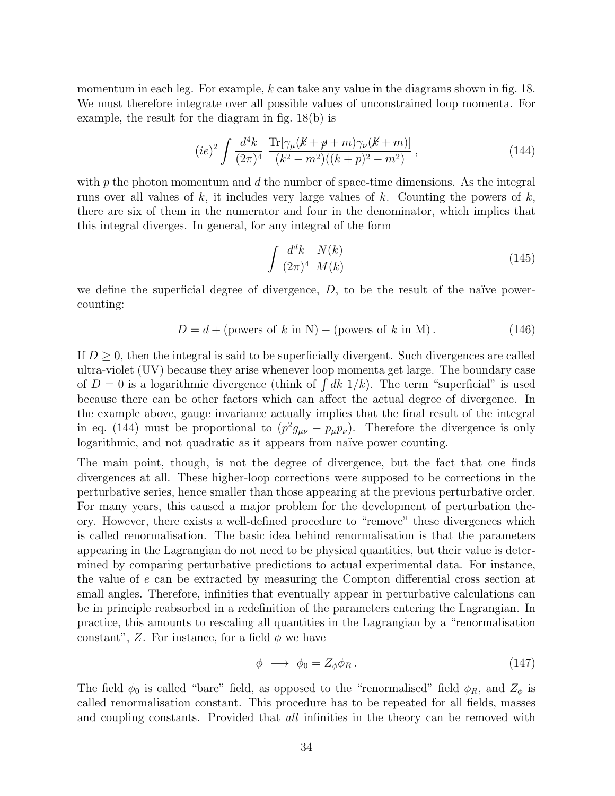momentum in each leg. For example, k can take any value in the diagrams shown in fig. 18. We must therefore integrate over all possible values of unconstrained loop momenta. For example, the result for the diagram in fig. 18(b) is

$$
(ie)^{2} \int \frac{d^{4}k}{(2\pi)^{4}} \frac{\text{Tr}[\gamma_{\mu}(K+\not p+m)\gamma_{\nu}(K+m)]}{(k^{2}-m^{2})((k+p)^{2}-m^{2})}, \qquad (144)
$$

with  $p$  the photon momentum and  $d$  the number of space-time dimensions. As the integral runs over all values of  $k$ , it includes very large values of  $k$ . Counting the powers of  $k$ , there are six of them in the numerator and four in the denominator, which implies that this integral diverges. In general, for any integral of the form

$$
\int \frac{d^d k}{(2\pi)^4} \frac{N(k)}{M(k)}\tag{145}
$$

we define the superficial degree of divergence,  $D$ , to be the result of the naïve powercounting:

$$
D = d + \text{(powers of } k \text{ in N}) - \text{(powers of } k \text{ in M)}.
$$
 (146)

If  $D \geq 0$ , then the integral is said to be superficially divergent. Such divergences are called ultra-violet (UV) because they arise whenever loop momenta get large. The boundary case of  $D = 0$  is a logarithmic divergence (think of  $\int dk \ 1/k$ ). The term "superficial" is used because there can be other factors which can affect the actual degree of divergence. In the example above, gauge invariance actually implies that the final result of the integral in eq. (144) must be proportional to  $(p^2 g_{\mu\nu} - p_\mu p_\nu)$ . Therefore the divergence is only logarithmic, and not quadratic as it appears from naïve power counting.

The main point, though, is not the degree of divergence, but the fact that one finds divergences at all. These higher-loop corrections were supposed to be corrections in the perturbative series, hence smaller than those appearing at the previous perturbative order. For many years, this caused a major problem for the development of perturbation theory. However, there exists a well-defined procedure to "remove" these divergences which is called renormalisation. The basic idea behind renormalisation is that the parameters appearing in the Lagrangian do not need to be physical quantities, but their value is determined by comparing perturbative predictions to actual experimental data. For instance, the value of e can be extracted by measuring the Compton differential cross section at small angles. Therefore, infinities that eventually appear in perturbative calculations can be in principle reabsorbed in a redefinition of the parameters entering the Lagrangian. In practice, this amounts to rescaling all quantities in the Lagrangian by a "renormalisation constant", Z. For instance, for a field  $\phi$  we have

$$
\phi \longrightarrow \phi_0 = Z_\phi \phi_R. \tag{147}
$$

The field  $\phi_0$  is called "bare" field, as opposed to the "renormalised" field  $\phi_R$ , and  $Z_\phi$  is called renormalisation constant. This procedure has to be repeated for all fields, masses and coupling constants. Provided that *all* infinities in the theory can be removed with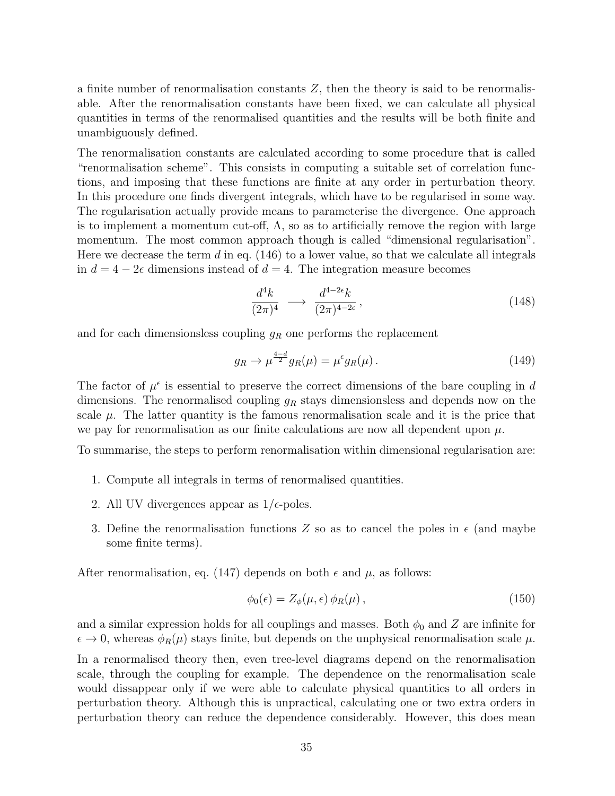a finite number of renormalisation constants  $Z$ , then the theory is said to be renormalisable. After the renormalisation constants have been fixed, we can calculate all physical quantities in terms of the renormalised quantities and the results will be both finite and unambiguously defined.

The renormalisation constants are calculated according to some procedure that is called "renormalisation scheme". This consists in computing a suitable set of correlation functions, and imposing that these functions are finite at any order in perturbation theory. In this procedure one finds divergent integrals, which have to be regularised in some way. The regularisation actually provide means to parameterise the divergence. One approach is to implement a momentum cut-off,  $\Lambda$ , so as to artificially remove the region with large momentum. The most common approach though is called "dimensional regularisation". Here we decrease the term  $d$  in eq. (146) to a lower value, so that we calculate all integrals in  $d = 4 - 2\epsilon$  dimensions instead of  $d = 4$ . The integration measure becomes

$$
\frac{d^4k}{(2\pi)^4} \longrightarrow \frac{d^{4-2\epsilon}k}{(2\pi)^{4-2\epsilon}},
$$
\n(148)

and for each dimensionsless coupling  $g_R$  one performs the replacement

$$
g_R \to \mu^{\frac{4-d}{2}} g_R(\mu) = \mu^{\epsilon} g_R(\mu). \tag{149}
$$

The factor of  $\mu^{\epsilon}$  is essential to preserve the correct dimensions of the bare coupling in d dimensions. The renormalised coupling  $g_R$  stays dimensionsless and depends now on the scale  $\mu$ . The latter quantity is the famous renormalisation scale and it is the price that we pay for renormalisation as our finite calculations are now all dependent upon  $\mu$ .

To summarise, the steps to perform renormalisation within dimensional regularisation are:

- 1. Compute all integrals in terms of renormalised quantities.
- 2. All UV divergences appear as  $1/\epsilon$ -poles.
- 3. Define the renormalisation functions Z so as to cancel the poles in  $\epsilon$  (and maybe some finite terms).

After renormalisation, eq. (147) depends on both  $\epsilon$  and  $\mu$ , as follows:

$$
\phi_0(\epsilon) = Z_{\phi}(\mu, \epsilon) \phi_R(\mu), \qquad (150)
$$

and a similar expression holds for all couplings and masses. Both  $\phi_0$  and Z are infinite for  $\epsilon \to 0$ , whereas  $\phi_R(\mu)$  stays finite, but depends on the unphysical renormalisation scale  $\mu$ . In a renormalised theory then, even tree-level diagrams depend on the renormalisation scale, through the coupling for example. The dependence on the renormalisation scale would dissappear only if we were able to calculate physical quantities to all orders in perturbation theory. Although this is unpractical, calculating one or two extra orders in perturbation theory can reduce the dependence considerably. However, this does mean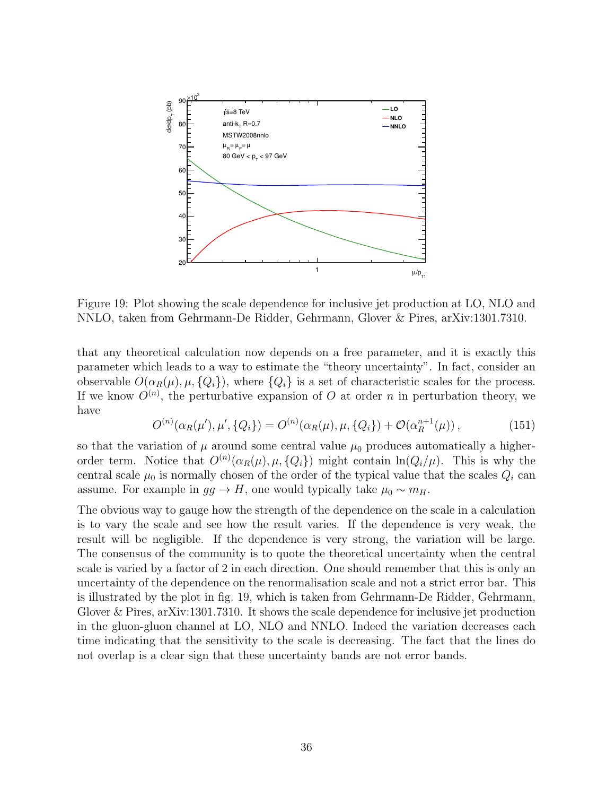

Figure 19: Plot showing the scale dependence for inclusive jet production at LO, NLO and NNLO, taken from Gehrmann-De Ridder, Gehrmann, Glover & Pires, arXiv:1301.7310.

that any theoretical calculation now depends on a free parameter, and it is exactly this parameter which leads to a way to estimate the "theory uncertainty". In fact, consider an observable  $O(\alpha_R(\mu), \mu, \{Q_i\})$ , where  $\{Q_i\}$  is a set of characteristic scales for the process. If we know  $O^{(n)}$ , the perturbative expansion of O at order n in perturbation theory, we have

$$
O^{(n)}(\alpha_R(\mu'), \mu', \{Q_i\}) = O^{(n)}(\alpha_R(\mu), \mu, \{Q_i\}) + \mathcal{O}(\alpha_R^{n+1}(\mu)), \tag{151}
$$

so that the variation of  $\mu$  around some central value  $\mu_0$  produces automatically a higherorder term. Notice that  $O^{(n)}(\alpha_R(\mu), \mu, \{Q_i\})$  might contain  $\ln(Q_i/\mu)$ . This is why the central scale  $\mu_0$  is normally chosen of the order of the typical value that the scales  $Q_i$  can assume. For example in  $gg \to H$ , one would typically take  $\mu_0 \sim m_H$ .

The obvious way to gauge how the strength of the dependence on the scale in a calculation is to vary the scale and see how the result varies. If the dependence is very weak, the result will be negligible. If the dependence is very strong, the variation will be large. The consensus of the community is to quote the theoretical uncertainty when the central scale is varied by a factor of 2 in each direction. One should remember that this is only an uncertainty of the dependence on the renormalisation scale and not a strict error bar. This is illustrated by the plot in fig. 19, which is taken from Gehrmann-De Ridder, Gehrmann, Glover & Pires, arXiv:1301.7310. It shows the scale dependence for inclusive jet production in the gluon-gluon channel at LO, NLO and NNLO. Indeed the variation decreases each time indicating that the sensitivity to the scale is decreasing. The fact that the lines do not overlap is a clear sign that these uncertainty bands are not error bands.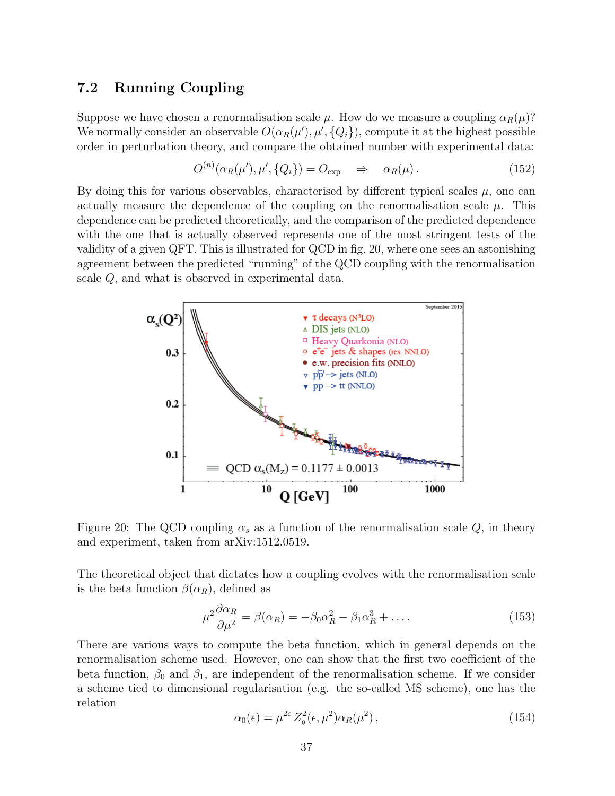#### 7.2 Running Coupling

Suppose we have chosen a renormalisation scale  $\mu$ . How do we measure a coupling  $\alpha_R(\mu)$ ? We normally consider an observable  $O(\alpha_R(\mu'), \mu', \{Q_i\})$ , compute it at the highest possible order in perturbation theory, and compare the obtained number with experimental data:

$$
O^{(n)}(\alpha_R(\mu'), \mu', \{Q_i\}) = O_{\exp} \quad \Rightarrow \quad \alpha_R(\mu). \tag{152}
$$

By doing this for various observables, characterised by different typical scales  $\mu$ , one can actually measure the dependence of the coupling on the renormalisation scale  $\mu$ . This dependence can be predicted theoretically, and the comparison of the predicted dependence with the one that is actually observed represents one of the most stringent tests of the validity of a given QFT. This is illustrated for QCD in fig. 20, where one sees an astonishing agreement between the predicted "running" of the QCD coupling with the renormalisation scale Q, and what is observed in experimental data.



Figure 20: The QCD coupling  $\alpha_s$  as a function of the renormalisation scale Q, in theory and experiment, taken from arXiv:1512.0519.

The theoretical object that dictates how a coupling evolves with the renormalisation scale is the beta function  $\beta(\alpha_R)$ , defined as

$$
\mu^2 \frac{\partial \alpha_R}{\partial \mu^2} = \beta(\alpha_R) = -\beta_0 \alpha_R^2 - \beta_1 \alpha_R^3 + \dots
$$
\n(153)

There are various ways to compute the beta function, which in general depends on the renormalisation scheme used. However, one can show that the first two coefficient of the beta function,  $\beta_0$  and  $\beta_1$ , are independent of the renormalisation scheme. If we consider a scheme tied to dimensional regularisation (e.g. the so-called MS scheme), one has the relation

$$
\alpha_0(\epsilon) = \mu^{2\epsilon} Z_g^2(\epsilon, \mu^2) \alpha_R(\mu^2), \qquad (154)
$$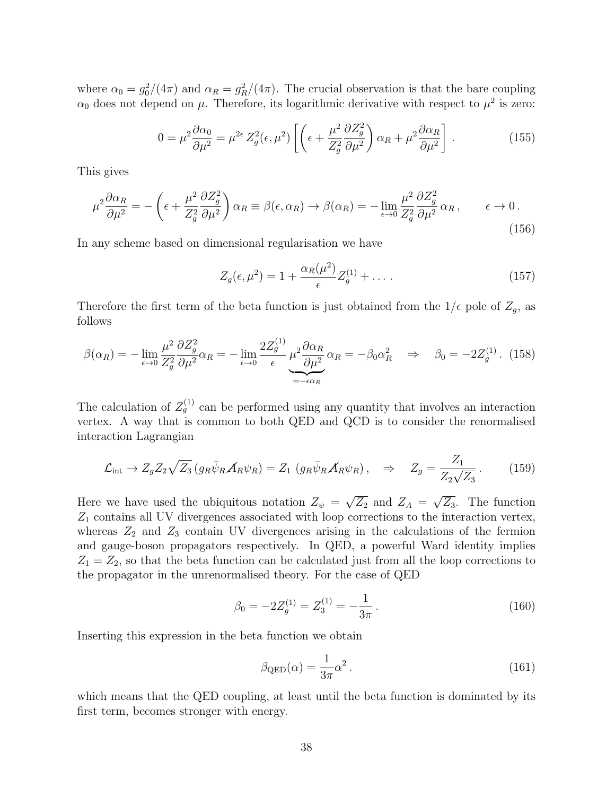where  $\alpha_0 = g_0^2/(4\pi)$  and  $\alpha_R = g_R^2/(4\pi)$ . The crucial observation is that the bare coupling  $\alpha_0$  does not depend on  $\mu$ . Therefore, its logarithmic derivative with respect to  $\mu^2$  is zero:

$$
0 = \mu^2 \frac{\partial \alpha_0}{\partial \mu^2} = \mu^{2\epsilon} Z_g^2(\epsilon, \mu^2) \left[ \left( \epsilon + \frac{\mu^2}{Z_g^2} \frac{\partial Z_g^2}{\partial \mu^2} \right) \alpha_R + \mu^2 \frac{\partial \alpha_R}{\partial \mu^2} \right]. \tag{155}
$$

This gives

$$
\mu^2 \frac{\partial \alpha_R}{\partial \mu^2} = -\left(\epsilon + \frac{\mu^2}{Z_g^2} \frac{\partial Z_g^2}{\partial \mu^2}\right) \alpha_R \equiv \beta(\epsilon, \alpha_R) \to \beta(\alpha_R) = -\lim_{\epsilon \to 0} \frac{\mu^2}{Z_g^2} \frac{\partial Z_g^2}{\partial \mu^2} \alpha_R, \qquad \epsilon \to 0.
$$
\n(156)

In any scheme based on dimensional regularisation we have

$$
Z_g(\epsilon, \mu^2) = 1 + \frac{\alpha_R(\mu^2)}{\epsilon} Z_g^{(1)} + \dots \tag{157}
$$

Therefore the first term of the beta function is just obtained from the  $1/\epsilon$  pole of  $Z_g$ , as follows

$$
\beta(\alpha_R) = -\lim_{\epsilon \to 0} \frac{\mu^2}{Z_g^2} \frac{\partial Z_g^2}{\partial \mu^2} \alpha_R = -\lim_{\epsilon \to 0} \frac{2Z_g^{(1)}}{\epsilon} \mu^2 \frac{\partial \alpha_R}{\partial \mu^2} \alpha_R = -\beta_0 \alpha_R^2 \quad \Rightarrow \quad \beta_0 = -2Z_g^{(1)}.
$$
 (158)

The calculation of  $Z_g^{(1)}$  can be performed using any quantity that involves an interaction vertex. A way that is common to both QED and QCD is to consider the renormalised interaction Lagrangian

$$
\mathcal{L}_{\text{int}} \rightarrow Z_g Z_2 \sqrt{Z_3} \left( g_R \bar{\psi}_R \mathcal{A}_R \psi_R \right) = Z_1 \left( g_R \bar{\psi}_R \mathcal{A}_R \psi_R \right), \quad \Rightarrow \quad Z_g = \frac{Z_1}{Z_2 \sqrt{Z_3}} \,. \tag{159}
$$

Here we have used the ubiquitous notation  $Z_{\psi} = \sqrt{Z_2}$  and  $Z_A = \sqrt{Z_3}$ . The function  $Z_1$  contains all UV divergences associated with loop corrections to the interaction vertex, whereas  $Z_2$  and  $Z_3$  contain UV divergences arising in the calculations of the fermion and gauge-boson propagators respectively. In QED, a powerful Ward identity implies  $Z_1 = Z_2$ , so that the beta function can be calculated just from all the loop corrections to the propagator in the unrenormalised theory. For the case of QED

$$
\beta_0 = -2Z_g^{(1)} = Z_3^{(1)} = -\frac{1}{3\pi} \,. \tag{160}
$$

Inserting this expression in the beta function we obtain

$$
\beta_{\rm QED}(\alpha) = \frac{1}{3\pi} \alpha^2 \,. \tag{161}
$$

which means that the QED coupling, at least until the beta function is dominated by its first term, becomes stronger with energy.